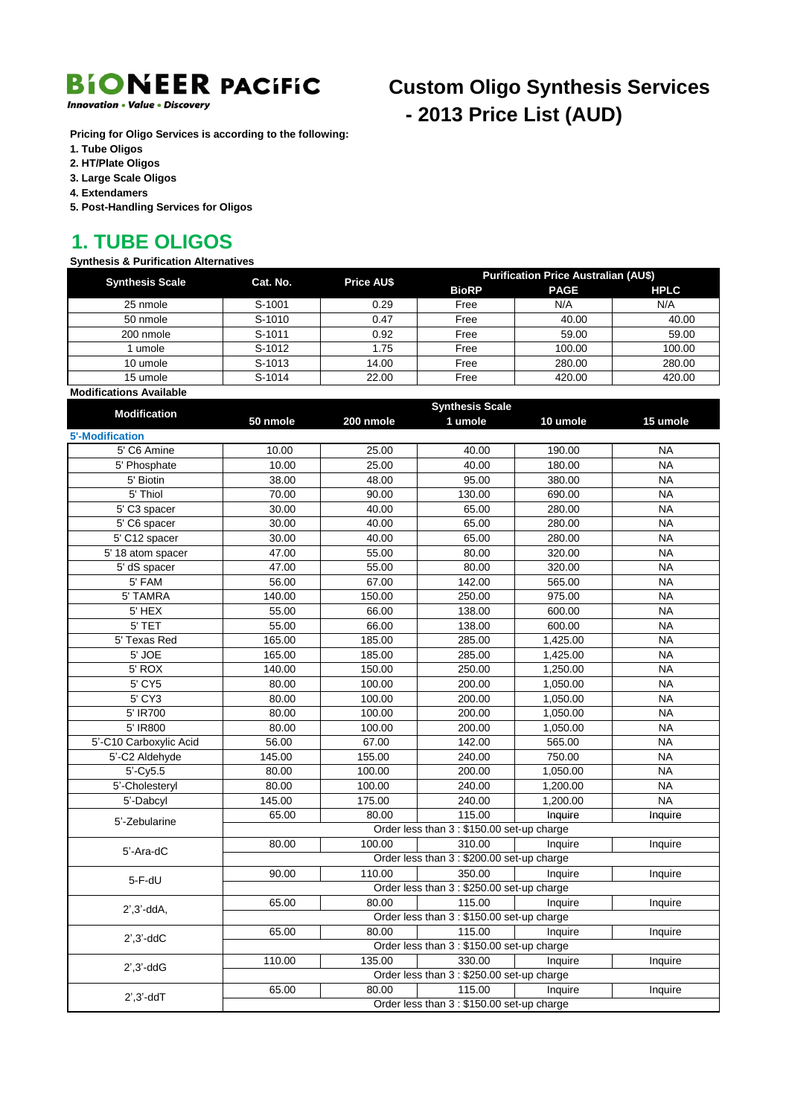

**Innovation • Value • Discovery** 

### **Custom Oligo Synthesis Services** - 2013 Price List (AUD)

Pricing for Oligo Services is according to the following:

- 1. Tube Oligos
- 2. HT/Plate Oligos
- 3. Large Scale Oligos
- 4. Extendamers
- 5. Post-Handling Services for Oligos

#### **1. TUBE OLIGOS**

#### **Synthesis & Purification Alternatives**

| <b>Synthesis Scale</b>  | Cat. No. | <b>Price AU\$</b> | <b>Purification Price Australian (AU\$)</b> |             |             |
|-------------------------|----------|-------------------|---------------------------------------------|-------------|-------------|
|                         |          |                   | <b>BioRP</b>                                | <b>PAGE</b> | <b>HPLC</b> |
| 25 nmole                | S-1001   | 0.29              | Free                                        | N/A         | N/A         |
| 50 nmole                | S-1010   | 0.47              | Free                                        | 40.00       | 40.00       |
| 200 nmole               | S-1011   | 0.92              | Free                                        | 59.00       | 59.00       |
| umole                   | S-1012   | 1.75              | Free                                        | 100.00      | 100.00      |
| 10 umole                | S-1013   | 14.00             | Free                                        | 280.00      | 280.00      |
| 15 umole                | S-1014   | 22.00             | Free                                        | 420.00      | 420.00      |
| Modifications Available |          |                   |                                             |             |             |

|                                       | <b>Synthesis Scale</b> |           |                                            |          |           |  |  |
|---------------------------------------|------------------------|-----------|--------------------------------------------|----------|-----------|--|--|
| <b>Modification</b>                   | 50 nmole               | 200 nmole | 1 umole                                    | 10 umole | 15 umole  |  |  |
| <b>5'-Modification</b>                |                        |           |                                            |          |           |  |  |
| 5' C6 Amine                           | 10.00                  | 25.00     | 40.00                                      | 190.00   | <b>NA</b> |  |  |
| 5' Phosphate                          | 10.00                  | 25.00     | 40.00                                      | 180.00   | <b>NA</b> |  |  |
| 5' Biotin                             | 38.00                  | 48.00     | 95.00                                      | 380.00   | <b>NA</b> |  |  |
| 5' Thiol                              | 70.00                  | 90.00     | 130.00                                     | 690.00   | <b>NA</b> |  |  |
| 5' C3 spacer                          | 30.00                  | 40.00     | 65.00                                      | 280.00   | <b>NA</b> |  |  |
| 5' C6 spacer                          | 30.00                  | 40.00     | 65.00                                      | 280.00   | <b>NA</b> |  |  |
| 5' C12 spacer                         | 30.00                  | 40.00     | 65.00                                      | 280.00   | <b>NA</b> |  |  |
| 5' 18 atom spacer                     | 47.00                  | 55.00     | 80.00                                      | 320.00   | <b>NA</b> |  |  |
| 5' dS spacer                          | 47.00                  | 55.00     | 80.00                                      | 320.00   | <b>NA</b> |  |  |
| 5' FAM                                | 56.00                  | 67.00     | 142.00                                     | 565.00   | <b>NA</b> |  |  |
| 5' TAMRA                              | 140.00                 | 150.00    | 250.00                                     | 975.00   | <b>NA</b> |  |  |
| 5' HEX                                | 55.00                  | 66.00     | 138.00                                     | 600.00   | <b>NA</b> |  |  |
| 5' TET                                | 55.00                  | 66.00     | 138.00                                     | 600.00   | <b>NA</b> |  |  |
| 5' Texas Red                          | 165.00                 | 185.00    | 285.00                                     | 1,425.00 | <b>NA</b> |  |  |
| 5' JOE                                | 165.00                 | 185.00    | 285.00                                     | 1,425.00 | <b>NA</b> |  |  |
| 5' ROX                                | 140.00                 | 150.00    | 250.00                                     | 1,250.00 | <b>NA</b> |  |  |
| 5' CY5                                | 80.00                  | 100.00    | 200.00                                     | 1,050.00 | <b>NA</b> |  |  |
| 5' CY3                                | 80.00                  | 100.00    | 200.00                                     | 1,050.00 | <b>NA</b> |  |  |
| 5' IR700                              | 80.00                  | 100.00    | 200.00                                     | 1,050.00 | <b>NA</b> |  |  |
| 5' IR800                              | 80.00                  | 100.00    | 200.00                                     | 1,050.00 | <b>NA</b> |  |  |
| 5'-C10 Carboxylic Acid                | 56.00                  | 67.00     | 142.00                                     | 565.00   | <b>NA</b> |  |  |
| 5'-C2 Aldehyde                        | 145.00                 | 155.00    | 240.00                                     | 750.00   | <b>NA</b> |  |  |
| $5'-Cy5.5$                            | 80.00                  | 100.00    | 200.00                                     | 1,050.00 | <b>NA</b> |  |  |
| 5'-Cholesteryl                        | 80.00                  | 100.00    | 240.00                                     | 1,200.00 | <b>NA</b> |  |  |
| 5'-Dabcyl                             | 145.00                 | 175.00    | 240.00                                     | 1,200.00 | <b>NA</b> |  |  |
| 5'-Zebularine                         | 65.00                  | 80.00     | 115.00                                     | Inquire  | Inquire   |  |  |
|                                       |                        |           | Order less than 3 : \$150.00 set-up charge |          |           |  |  |
| 5'-Ara-dC                             | 80.00                  | 100.00    | 310.00                                     | Inquire  | Inquire   |  |  |
|                                       |                        |           | Order less than 3 : \$200.00 set-up charge |          |           |  |  |
| $5-F-dU$                              | 90.00                  | 110.00    | 350.00                                     | Inquire  | Inquire   |  |  |
|                                       |                        |           | Order less than 3 : \$250.00 set-up charge |          |           |  |  |
| $2^{\prime}$ , $3^{\prime}$ -dd $A$ , | 65.00                  | 80.00     | 115.00                                     | Inquire  | Inquire   |  |  |
|                                       |                        |           | Order less than 3 : \$150.00 set-up charge |          |           |  |  |
| $2^{\prime}$ , $3^{\prime}$ -dd $C$   | 65.00                  | 80.00     | 115.00                                     | Inquire  | Inquire   |  |  |
|                                       |                        |           | Order less than 3 : \$150.00 set-up charge |          |           |  |  |
| $2^{\prime}, 3^{\prime}$ -dd $G$      | 110.00                 | 135.00    | 330.00                                     | Inquire  | Inquire   |  |  |
|                                       |                        |           | Order less than 3 : \$250.00 set-up charge |          |           |  |  |
|                                       | 65.00                  | 80.00     | 115.00                                     | Inquire  | Inquire   |  |  |
| $2^{\prime}$ , $3^{\prime}$ -dd $T$   |                        |           | Order less than 3 : \$150.00 set-up charge |          |           |  |  |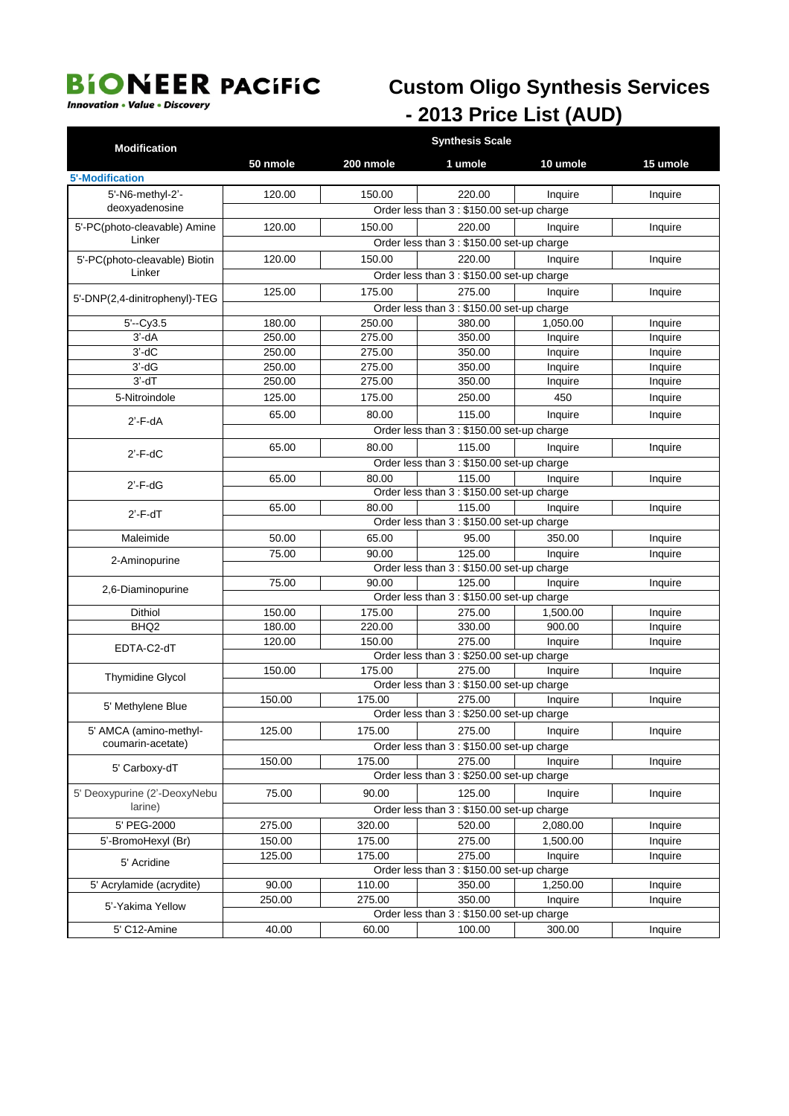**Innovation • Value • Discovery** 

## **Custom Oligo Synthesis Services** - 2013 Price List (AUD)

| 50 nmole<br>10 umole<br>15 umole<br>200 nmole<br>1 umole<br><b>5'-Modification</b><br>5'-N6-methyl-2'-<br>120.00<br>150.00<br>220.00<br>Inquire<br>Inquire<br>deoxyadenosine<br>Order less than 3 : \$150.00 set-up charge<br>5'-PC(photo-cleavable) Amine<br>120.00<br>150.00<br>220.00<br>Inquire<br>Inquire<br>Linker<br>Order less than 3 : \$150.00 set-up charge<br>5'-PC(photo-cleavable) Biotin<br>120.00<br>150.00<br>220.00<br>Inquire<br>Inquire<br>Linker<br>Order less than 3 : \$150.00 set-up charge<br>125.00<br>175.00<br>275.00<br>Inquire<br>Inquire<br>5'-DNP(2,4-dinitrophenyl)-TEG<br>Order less than 3 : \$150.00 set-up charge<br>380.00<br>1,050.00<br>$5'-Cv3.5$<br>180.00<br>250.00<br>Inquire<br>250.00<br>275.00<br>350.00<br>Inquire<br>Inquire | <b>Modification</b> |  |  |  |  |  |
|-------------------------------------------------------------------------------------------------------------------------------------------------------------------------------------------------------------------------------------------------------------------------------------------------------------------------------------------------------------------------------------------------------------------------------------------------------------------------------------------------------------------------------------------------------------------------------------------------------------------------------------------------------------------------------------------------------------------------------------------------------------------------------|---------------------|--|--|--|--|--|
|                                                                                                                                                                                                                                                                                                                                                                                                                                                                                                                                                                                                                                                                                                                                                                               |                     |  |  |  |  |  |
|                                                                                                                                                                                                                                                                                                                                                                                                                                                                                                                                                                                                                                                                                                                                                                               |                     |  |  |  |  |  |
|                                                                                                                                                                                                                                                                                                                                                                                                                                                                                                                                                                                                                                                                                                                                                                               |                     |  |  |  |  |  |
|                                                                                                                                                                                                                                                                                                                                                                                                                                                                                                                                                                                                                                                                                                                                                                               |                     |  |  |  |  |  |
|                                                                                                                                                                                                                                                                                                                                                                                                                                                                                                                                                                                                                                                                                                                                                                               |                     |  |  |  |  |  |
|                                                                                                                                                                                                                                                                                                                                                                                                                                                                                                                                                                                                                                                                                                                                                                               |                     |  |  |  |  |  |
|                                                                                                                                                                                                                                                                                                                                                                                                                                                                                                                                                                                                                                                                                                                                                                               |                     |  |  |  |  |  |
|                                                                                                                                                                                                                                                                                                                                                                                                                                                                                                                                                                                                                                                                                                                                                                               |                     |  |  |  |  |  |
|                                                                                                                                                                                                                                                                                                                                                                                                                                                                                                                                                                                                                                                                                                                                                                               |                     |  |  |  |  |  |
|                                                                                                                                                                                                                                                                                                                                                                                                                                                                                                                                                                                                                                                                                                                                                                               |                     |  |  |  |  |  |
|                                                                                                                                                                                                                                                                                                                                                                                                                                                                                                                                                                                                                                                                                                                                                                               |                     |  |  |  |  |  |
|                                                                                                                                                                                                                                                                                                                                                                                                                                                                                                                                                                                                                                                                                                                                                                               | $3'-dA$             |  |  |  |  |  |
| $3'-dC$<br>250.00<br>275.00<br>350.00<br>Inquire<br>Inquire                                                                                                                                                                                                                                                                                                                                                                                                                                                                                                                                                                                                                                                                                                                   |                     |  |  |  |  |  |
| $3'-dG$<br>250.00<br>350.00<br>275.00<br>Inquire<br>Inquire                                                                                                                                                                                                                                                                                                                                                                                                                                                                                                                                                                                                                                                                                                                   |                     |  |  |  |  |  |
| $3'-dT$<br>250.00<br>275.00<br>350.00<br>Inquire<br>Inquire                                                                                                                                                                                                                                                                                                                                                                                                                                                                                                                                                                                                                                                                                                                   |                     |  |  |  |  |  |
| 125.00<br>450<br>5-Nitroindole<br>175.00<br>250.00<br>Inquire                                                                                                                                                                                                                                                                                                                                                                                                                                                                                                                                                                                                                                                                                                                 |                     |  |  |  |  |  |
| 65.00<br>80.00<br>115.00<br>Inquire<br>Inquire                                                                                                                                                                                                                                                                                                                                                                                                                                                                                                                                                                                                                                                                                                                                |                     |  |  |  |  |  |
| $2'$ -F-dA<br>Order less than 3 : \$150.00 set-up charge                                                                                                                                                                                                                                                                                                                                                                                                                                                                                                                                                                                                                                                                                                                      |                     |  |  |  |  |  |
| 65.00<br>80.00<br>115.00<br>Inquire<br>Inquire                                                                                                                                                                                                                                                                                                                                                                                                                                                                                                                                                                                                                                                                                                                                |                     |  |  |  |  |  |
| $2'$ -F-dC<br>Order less than 3 : \$150.00 set-up charge                                                                                                                                                                                                                                                                                                                                                                                                                                                                                                                                                                                                                                                                                                                      |                     |  |  |  |  |  |
| 115.00<br>80.00<br>65.00<br>Inquire<br>Inquire                                                                                                                                                                                                                                                                                                                                                                                                                                                                                                                                                                                                                                                                                                                                |                     |  |  |  |  |  |
| $2'$ - $F$ -d $G$<br>Order less than 3 : \$150.00 set-up charge                                                                                                                                                                                                                                                                                                                                                                                                                                                                                                                                                                                                                                                                                                               |                     |  |  |  |  |  |
| 80.00<br>115.00<br>65.00<br>Inquire<br>Inquire                                                                                                                                                                                                                                                                                                                                                                                                                                                                                                                                                                                                                                                                                                                                |                     |  |  |  |  |  |
| Order less than 3 : \$150.00 set-up charge                                                                                                                                                                                                                                                                                                                                                                                                                                                                                                                                                                                                                                                                                                                                    | $2'$ -F-dT          |  |  |  |  |  |
| Maleimide<br>50.00<br>65.00<br>95.00<br>350.00<br>Inquire                                                                                                                                                                                                                                                                                                                                                                                                                                                                                                                                                                                                                                                                                                                     |                     |  |  |  |  |  |
| 75.00<br>90.00<br>125.00<br>Inquire<br>Inquire                                                                                                                                                                                                                                                                                                                                                                                                                                                                                                                                                                                                                                                                                                                                |                     |  |  |  |  |  |
| 2-Aminopurine<br>Order less than 3 : \$150.00 set-up charge                                                                                                                                                                                                                                                                                                                                                                                                                                                                                                                                                                                                                                                                                                                   |                     |  |  |  |  |  |
| 90.00<br>125.00<br>75.00<br>Inquire<br>Inquire<br>2,6-Diaminopurine                                                                                                                                                                                                                                                                                                                                                                                                                                                                                                                                                                                                                                                                                                           |                     |  |  |  |  |  |
| Order less than 3 : \$150.00 set-up charge                                                                                                                                                                                                                                                                                                                                                                                                                                                                                                                                                                                                                                                                                                                                    |                     |  |  |  |  |  |
| 150.00<br>175.00<br>275.00<br>Dithiol<br>1,500.00<br>Inquire                                                                                                                                                                                                                                                                                                                                                                                                                                                                                                                                                                                                                                                                                                                  |                     |  |  |  |  |  |
| BHQ <sub>2</sub><br>180.00<br>220.00<br>330.00<br>900.00<br>Inquire                                                                                                                                                                                                                                                                                                                                                                                                                                                                                                                                                                                                                                                                                                           |                     |  |  |  |  |  |
| 275.00<br>120.00<br>150.00<br>Inquire<br>Inquire<br>EDTA-C2-dT                                                                                                                                                                                                                                                                                                                                                                                                                                                                                                                                                                                                                                                                                                                |                     |  |  |  |  |  |
| Order less than 3 : \$250.00 set-up charge<br>175.00                                                                                                                                                                                                                                                                                                                                                                                                                                                                                                                                                                                                                                                                                                                          |                     |  |  |  |  |  |
| 150.00<br>275.00<br>Inquire<br>Inquire<br>Thymidine Glycol<br>Order less than 3 : \$150.00 set-up charge                                                                                                                                                                                                                                                                                                                                                                                                                                                                                                                                                                                                                                                                      |                     |  |  |  |  |  |
| 275.00<br>150.00<br>175.00<br>Inquire<br>Inquire                                                                                                                                                                                                                                                                                                                                                                                                                                                                                                                                                                                                                                                                                                                              |                     |  |  |  |  |  |
| 5' Methylene Blue<br>Order less than 3 : \$250.00 set-up charge                                                                                                                                                                                                                                                                                                                                                                                                                                                                                                                                                                                                                                                                                                               |                     |  |  |  |  |  |
| 5' AMCA (amino-methyl-<br>125.00<br>175.00<br>275.00<br>Inquire<br>Inquire                                                                                                                                                                                                                                                                                                                                                                                                                                                                                                                                                                                                                                                                                                    |                     |  |  |  |  |  |
| coumarin-acetate)<br>Order less than 3 : \$150.00 set-up charge                                                                                                                                                                                                                                                                                                                                                                                                                                                                                                                                                                                                                                                                                                               |                     |  |  |  |  |  |
| 150.00<br>175.00<br>275.00<br>Inquire<br>Inquire                                                                                                                                                                                                                                                                                                                                                                                                                                                                                                                                                                                                                                                                                                                              |                     |  |  |  |  |  |
| 5' Carboxy-dT<br>Order less than 3 : \$250.00 set-up charge                                                                                                                                                                                                                                                                                                                                                                                                                                                                                                                                                                                                                                                                                                                   |                     |  |  |  |  |  |
| 5' Deoxypurine (2'-DeoxyNebu<br>75.00<br>90.00<br>125.00<br>Inquire<br>Inquire                                                                                                                                                                                                                                                                                                                                                                                                                                                                                                                                                                                                                                                                                                |                     |  |  |  |  |  |
| larine)                                                                                                                                                                                                                                                                                                                                                                                                                                                                                                                                                                                                                                                                                                                                                                       |                     |  |  |  |  |  |
| Order less than 3 : \$150.00 set-up charge                                                                                                                                                                                                                                                                                                                                                                                                                                                                                                                                                                                                                                                                                                                                    |                     |  |  |  |  |  |
| 5' PEG-2000<br>320.00<br>520.00<br>275.00<br>2,080.00<br>Inquire<br>175.00<br>275.00<br>1,500.00<br>5'-BromoHexyl (Br)<br>150.00<br>Inquire                                                                                                                                                                                                                                                                                                                                                                                                                                                                                                                                                                                                                                   |                     |  |  |  |  |  |
| 175.00                                                                                                                                                                                                                                                                                                                                                                                                                                                                                                                                                                                                                                                                                                                                                                        |                     |  |  |  |  |  |
| 125.00<br>275.00<br>Inquire<br>Inquire<br>5' Acridine<br>Order less than 3 : \$150.00 set-up charge                                                                                                                                                                                                                                                                                                                                                                                                                                                                                                                                                                                                                                                                           |                     |  |  |  |  |  |
| 5' Acrylamide (acrydite)<br>90.00<br>110.00<br>350.00<br>1,250.00<br>Inquire                                                                                                                                                                                                                                                                                                                                                                                                                                                                                                                                                                                                                                                                                                  |                     |  |  |  |  |  |
| 275.00<br>350.00<br>250.00<br>Inquire<br>Inquire                                                                                                                                                                                                                                                                                                                                                                                                                                                                                                                                                                                                                                                                                                                              |                     |  |  |  |  |  |
| 5'-Yakima Yellow<br>Order less than 3 : \$150.00 set-up charge                                                                                                                                                                                                                                                                                                                                                                                                                                                                                                                                                                                                                                                                                                                |                     |  |  |  |  |  |
| 300.00<br>5' C12-Amine<br>40.00<br>60.00<br>100.00<br>Inquire                                                                                                                                                                                                                                                                                                                                                                                                                                                                                                                                                                                                                                                                                                                 |                     |  |  |  |  |  |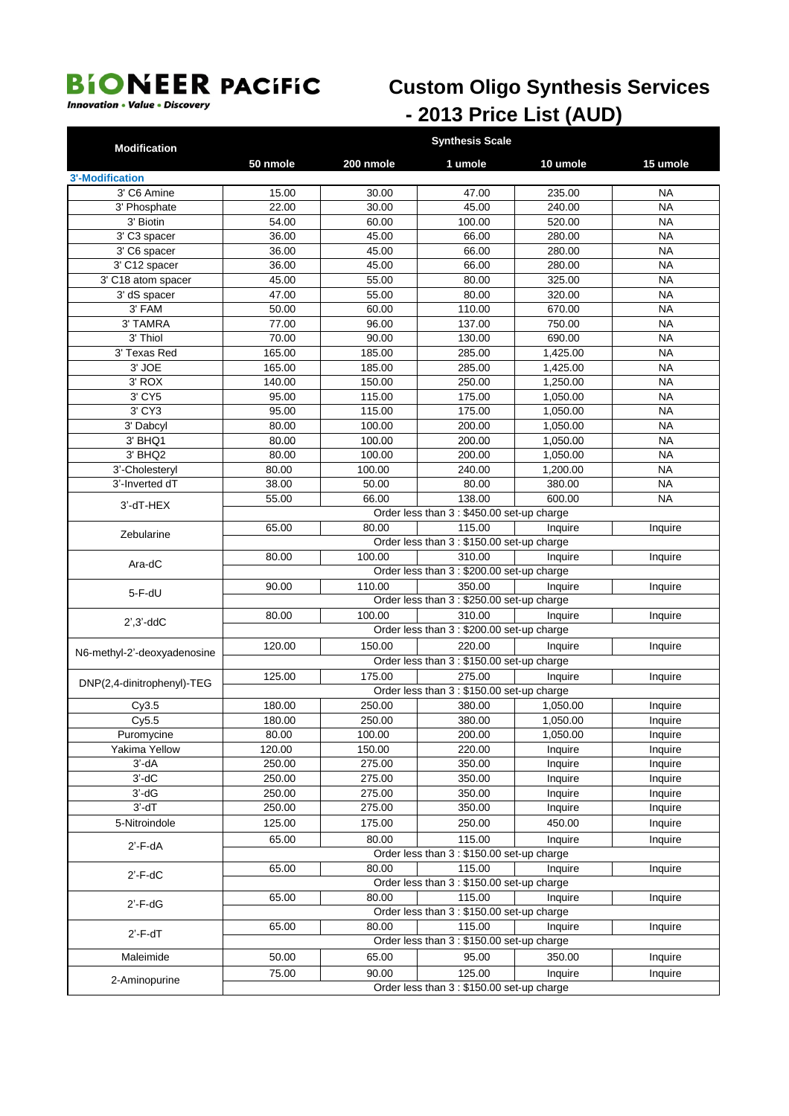## **Custom Oligo Synthesis Services** - 2013 Price List (AUD)

**Innovation • Value • Discovery** 

| <b>Modification</b>                 |                                            | <b>Synthesis Scale</b>                                                                        |                                                      |                  |                        |  |  |  |  |
|-------------------------------------|--------------------------------------------|-----------------------------------------------------------------------------------------------|------------------------------------------------------|------------------|------------------------|--|--|--|--|
|                                     | 50 nmole                                   | 200 nmole                                                                                     | 1 umole                                              | 10 umole         | 15 umole               |  |  |  |  |
| <b>3'-Modification</b>              |                                            |                                                                                               |                                                      |                  |                        |  |  |  |  |
| 3' C6 Amine                         | 15.00                                      | 30.00                                                                                         | 47.00                                                | 235.00           | <b>NA</b>              |  |  |  |  |
| 3' Phosphate                        | 22.00                                      | 30.00                                                                                         | 45.00                                                | 240.00           | <b>NA</b>              |  |  |  |  |
| 3' Biotin                           | 54.00                                      | 60.00                                                                                         | 100.00                                               | 520.00           | <b>NA</b>              |  |  |  |  |
| 3' C3 spacer                        | 36.00                                      | 45.00                                                                                         | 66.00                                                | 280.00           | <b>NA</b>              |  |  |  |  |
| 3' C6 spacer<br>3' C12 spacer       | 36.00<br>36.00                             | 45.00<br>45.00                                                                                | 66.00<br>66.00                                       | 280.00<br>280.00 | <b>NA</b><br><b>NA</b> |  |  |  |  |
| 3' C18 atom spacer                  | 45.00                                      | 55.00                                                                                         | 80.00                                                | 325.00           | <b>NA</b>              |  |  |  |  |
| 3' dS spacer                        | 47.00                                      | 55.00                                                                                         | 80.00                                                | 320.00           | <b>NA</b>              |  |  |  |  |
| 3' FAM                              | 50.00                                      | 60.00                                                                                         | 110.00                                               | 670.00           | <b>NA</b>              |  |  |  |  |
| 3' TAMRA                            | 77.00                                      | 96.00                                                                                         | 137.00                                               | 750.00           | <b>NA</b>              |  |  |  |  |
| 3' Thiol                            | 70.00                                      | 90.00                                                                                         | 130.00                                               | 690.00           | <b>NA</b>              |  |  |  |  |
| 3' Texas Red                        | 165.00                                     | 185.00                                                                                        | 285.00                                               | 1,425.00         | <b>NA</b>              |  |  |  |  |
| 3' JOE                              | 165.00                                     | 185.00                                                                                        | 285.00                                               | 1,425.00         | <b>NA</b>              |  |  |  |  |
| 3' ROX                              | 140.00                                     | 150.00                                                                                        | 250.00                                               | 1,250.00         | <b>NA</b>              |  |  |  |  |
| 3' CY5                              | 95.00                                      | 115.00                                                                                        | 175.00                                               | 1,050.00         | <b>NA</b>              |  |  |  |  |
| 3' CY3                              | 95.00                                      | 115.00                                                                                        | 175.00                                               | 1,050.00         | <b>NA</b>              |  |  |  |  |
| 3' Dabcyl                           | 80.00                                      | 100.00                                                                                        | 200.00                                               | 1,050.00         | <b>NA</b>              |  |  |  |  |
| 3' BHQ1                             | 80.00                                      | 100.00                                                                                        | 200.00                                               | 1,050.00         | <b>NA</b>              |  |  |  |  |
| 3' BHQ2                             | 80.00                                      | 100.00                                                                                        | 200.00                                               | 1,050.00         | <b>NA</b>              |  |  |  |  |
| 3'-Cholesteryl                      | 80.00                                      | 100.00                                                                                        | 240.00                                               | 1,200.00         | <b>NA</b>              |  |  |  |  |
| 3'-Inverted dT                      | 38.00                                      | 50.00                                                                                         | 80.00                                                | 380.00           | <b>NA</b>              |  |  |  |  |
| 3'-dT-HEX                           |                                            | 138.00<br>600.00<br>55.00<br>66.00<br><b>NA</b><br>Order less than 3 : \$450.00 set-up charge |                                                      |                  |                        |  |  |  |  |
|                                     | 115.00<br>80.00<br>65.00<br>Inquire        |                                                                                               |                                                      |                  |                        |  |  |  |  |
| Zebularine                          |                                            |                                                                                               | Order less than 3 : \$150.00 set-up charge           |                  | Inquire                |  |  |  |  |
|                                     | 80.00                                      | 100.00                                                                                        | 310.00                                               | Inquire          | Inquire                |  |  |  |  |
| Ara-dC                              |                                            |                                                                                               | Order less than 3 : \$200.00 set-up charge           |                  |                        |  |  |  |  |
|                                     | 90.00                                      | 110.00                                                                                        | 350.00                                               | Inquire          | Inquire                |  |  |  |  |
| $5-F-dU$                            |                                            |                                                                                               | Order less than 3 : \$250.00 set-up charge           |                  |                        |  |  |  |  |
|                                     | 80.00                                      | 100.00                                                                                        | 310.00                                               | Inquire          | Inquire                |  |  |  |  |
| $2^{\prime}$ , $3^{\prime}$ -dd $C$ | Order less than 3 : \$200.00 set-up charge |                                                                                               |                                                      |                  |                        |  |  |  |  |
| N6-methyl-2'-deoxyadenosine         | 120.00                                     | 150.00                                                                                        | 220.00                                               | Inquire          | Inquire                |  |  |  |  |
|                                     | Order less than 3 : \$150.00 set-up charge |                                                                                               |                                                      |                  |                        |  |  |  |  |
| DNP(2,4-dinitrophenyl)-TEG          | 125.00                                     | 175.00                                                                                        | 275.00                                               | Inquire          | Inquire                |  |  |  |  |
|                                     |                                            |                                                                                               | Order less than 3 : \$150.00 set-up charge           |                  |                        |  |  |  |  |
| Cy3.5                               | 180.00                                     | 250.00                                                                                        | 380.00                                               | 1,050.00         | Inquire                |  |  |  |  |
| Cy5.5                               | 180.00                                     | 250.00                                                                                        | 380.00                                               | 1,050.00         | Inquire                |  |  |  |  |
| Puromycine                          | 80.00                                      | 100.00                                                                                        | 200.00                                               | 1,050.00         | Inquire                |  |  |  |  |
| Yakima Yellow                       | 120.00                                     | 150.00                                                                                        | 220.00                                               | Inquire          | Inquire                |  |  |  |  |
| $3'-dA$                             | 250.00                                     | 275.00                                                                                        | 350.00                                               | Inquire          | Inquire                |  |  |  |  |
| $3'-dC$                             | 250.00                                     | 275.00                                                                                        | 350.00                                               | Inquire          | Inquire                |  |  |  |  |
| $3'-dG$                             | 250.00                                     | 275.00                                                                                        | 350.00                                               | Inquire          | Inquire                |  |  |  |  |
| $3'$ -d $T$                         | 250.00                                     | 275.00                                                                                        | 350.00                                               | Inquire          | Inquire                |  |  |  |  |
| 5-Nitroindole                       | 125.00                                     | 175.00                                                                                        | 250.00                                               | 450.00           | Inquire                |  |  |  |  |
| 2'-F-dA                             | 65.00                                      | 80.00                                                                                         | 115.00                                               | Inquire          | Inquire                |  |  |  |  |
|                                     |                                            |                                                                                               | Order less than 3 : \$150.00 set-up charge           |                  |                        |  |  |  |  |
| $2'$ -F-dC                          | 65.00                                      | 80.00                                                                                         | 115.00<br>Order less than 3 : \$150.00 set-up charge | Inquire          | Inquire                |  |  |  |  |
|                                     | 65.00                                      | 80.00                                                                                         | 115.00                                               | Inquire          | Inquire                |  |  |  |  |
| $2'$ - $F$ -d $G$                   |                                            |                                                                                               | Order less than 3 : \$150.00 set-up charge           |                  |                        |  |  |  |  |
|                                     | 65.00                                      | 80.00                                                                                         | 115.00                                               | Inquire          | Inquire                |  |  |  |  |
| $2'$ -F-d $T$                       |                                            |                                                                                               | Order less than 3 : \$150.00 set-up charge           |                  |                        |  |  |  |  |
| Maleimide                           | 50.00                                      | 65.00                                                                                         | 95.00                                                | 350.00           | Inquire                |  |  |  |  |
|                                     | 75.00                                      | 90.00                                                                                         | 125.00                                               | Inquire          | Inquire                |  |  |  |  |
| 2-Aminopurine                       |                                            |                                                                                               | Order less than 3 : \$150.00 set-up charge           |                  |                        |  |  |  |  |
|                                     |                                            |                                                                                               |                                                      |                  |                        |  |  |  |  |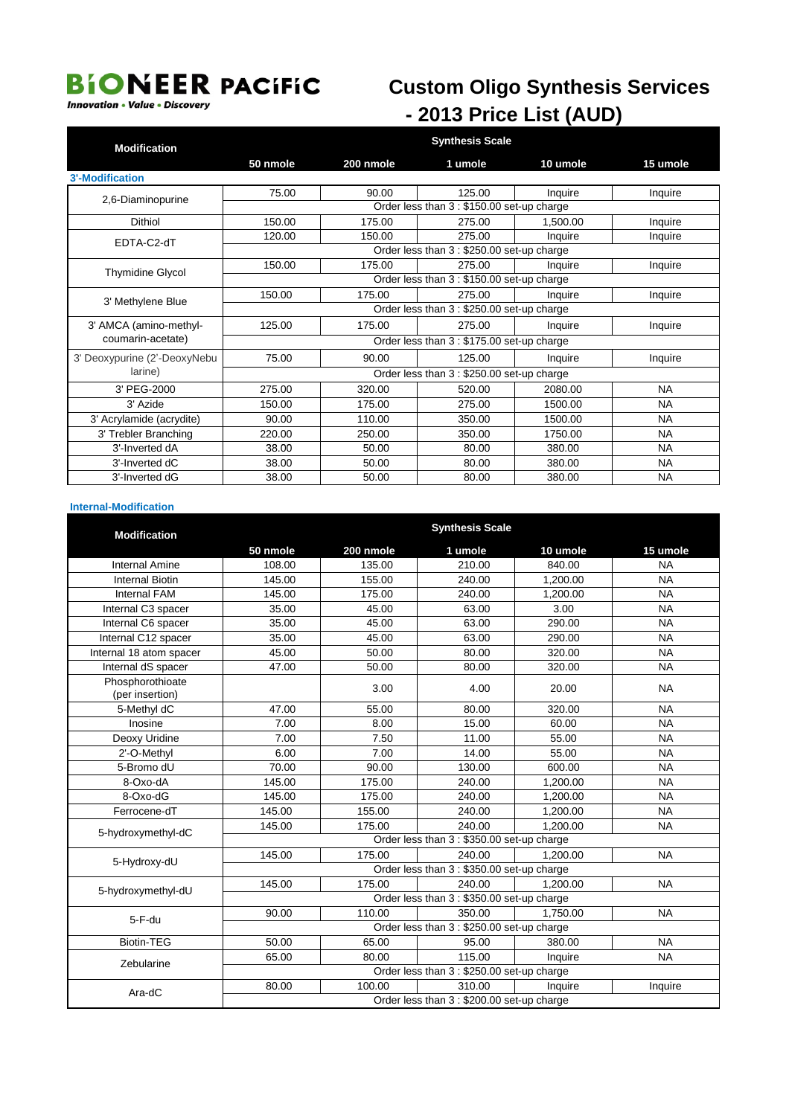#### **Innovation • Value • Discovery**

## **Custom Oligo Synthesis Services** - 2013 Price List (AUD)

| <b>Modification</b>          | <b>Synthesis Scale</b>                     |           |                                            |          |           |  |  |
|------------------------------|--------------------------------------------|-----------|--------------------------------------------|----------|-----------|--|--|
|                              | 50 nmole                                   | 200 nmole | 1 umole                                    | 10 umole | 15 umole  |  |  |
| <b>3'-Modification</b>       |                                            |           |                                            |          |           |  |  |
| 2,6-Diaminopurine            | 75.00                                      | 90.00     | 125.00                                     | Inquire  | Inquire   |  |  |
|                              |                                            |           | Order less than 3 : \$150.00 set-up charge |          |           |  |  |
| <b>Dithiol</b>               | 150.00                                     | 175.00    | 275.00                                     | 1.500.00 | Inquire   |  |  |
| EDTA-C2-dT                   | 120.00                                     | 150.00    | 275.00                                     | Inquire  | Inquire   |  |  |
|                              |                                            |           | Order less than 3 : \$250.00 set-up charge |          |           |  |  |
| <b>Thymidine Glycol</b>      | 150.00                                     | 175.00    | 275.00                                     | Inquire  | Inquire   |  |  |
|                              | Order less than 3 : \$150.00 set-up charge |           |                                            |          |           |  |  |
| 3' Methylene Blue            | 150.00                                     | 175.00    | 275.00                                     | Inquire  | Inquire   |  |  |
|                              | Order less than 3 : \$250.00 set-up charge |           |                                            |          |           |  |  |
| 3' AMCA (amino-methyl-       | 125.00                                     | 175.00    | 275.00                                     | Inquire  | Inquire   |  |  |
| coumarin-acetate)            | Order less than 3 : \$175.00 set-up charge |           |                                            |          |           |  |  |
| 3' Deoxypurine (2'-DeoxyNebu | 75.00                                      | 90.00     | 125.00                                     | Inquire  | Inquire   |  |  |
| larine)                      | Order less than 3 : \$250.00 set-up charge |           |                                            |          |           |  |  |
| 3' PEG-2000                  | 275.00                                     | 320.00    | 520.00                                     | 2080.00  | <b>NA</b> |  |  |
| 3' Azide                     | 150.00                                     | 175.00    | 275.00                                     | 1500.00  | <b>NA</b> |  |  |
| 3' Acrylamide (acrydite)     | 90.00                                      | 110.00    | 350.00                                     | 1500.00  | <b>NA</b> |  |  |
| 3' Trebler Branching         | 220.00                                     | 250.00    | 350.00                                     | 1750.00  | <b>NA</b> |  |  |
| 3'-Inverted dA               | 38.00                                      | 50.00     | 80.00                                      | 380.00   | <b>NA</b> |  |  |
| 3'-Inverted dC               | 38.00                                      | 50.00     | 80.00                                      | 380.00   | <b>NA</b> |  |  |
| 3'-Inverted dG               | 38.00                                      | 50.00     | 80.00                                      | 380.00   | <b>NA</b> |  |  |

#### **Internal-Modification**

| <b>Modification</b>                 | <b>Synthesis Scale</b>                     |           |                                            |          |           |  |  |
|-------------------------------------|--------------------------------------------|-----------|--------------------------------------------|----------|-----------|--|--|
|                                     | 50 nmole                                   | 200 nmole | 1 umole                                    | 10 umole | 15 umole  |  |  |
| <b>Internal Amine</b>               | 108.00                                     | 135.00    | 210.00                                     | 840.00   | <b>NA</b> |  |  |
| <b>Internal Biotin</b>              | 145.00                                     | 155.00    | 240.00                                     | 1,200.00 | <b>NA</b> |  |  |
| <b>Internal FAM</b>                 | 145.00                                     | 175.00    | 240.00                                     | 1,200.00 | <b>NA</b> |  |  |
| Internal C3 spacer                  | 35.00                                      | 45.00     | 63.00                                      | 3.00     | <b>NA</b> |  |  |
| Internal C6 spacer                  | 35.00                                      | 45.00     | 63.00                                      | 290.00   | <b>NA</b> |  |  |
| Internal C12 spacer                 | 35.00                                      | 45.00     | 63.00                                      | 290.00   | <b>NA</b> |  |  |
| Internal 18 atom spacer             | 45.00                                      | 50.00     | 80.00                                      | 320.00   | <b>NA</b> |  |  |
| Internal dS spacer                  | 47.00                                      | 50.00     | 80.00                                      | 320.00   | <b>NA</b> |  |  |
| Phosphorothioate<br>(per insertion) |                                            | 3.00      | 4.00                                       | 20.00    | <b>NA</b> |  |  |
| 5-Methyl dC                         | 47.00                                      | 55.00     | 80.00                                      | 320.00   | <b>NA</b> |  |  |
| Inosine                             | 7.00                                       | 8.00      | 15.00                                      | 60.00    | <b>NA</b> |  |  |
| Deoxy Uridine                       | 7.00                                       | 7.50      | 11.00                                      | 55.00    | <b>NA</b> |  |  |
| 2'-O-Methyl                         | 6.00                                       | 7.00      | 14.00                                      | 55.00    | <b>NA</b> |  |  |
| 5-Bromo dU                          | 70.00                                      | 90.00     | 130.00                                     | 600.00   | <b>NA</b> |  |  |
| 8-Oxo-dA                            | 145.00                                     | 175.00    | 240.00                                     | 1,200.00 | <b>NA</b> |  |  |
| 8-Oxo-dG                            | 145.00                                     | 175.00    | 240.00                                     | 1,200.00 | <b>NA</b> |  |  |
| Ferrocene-dT                        | 145.00                                     | 155.00    | 240.00                                     | 1,200.00 | <b>NA</b> |  |  |
| 5-hydroxymethyl-dC                  | 145.00                                     | 175.00    | 240.00                                     | 1,200.00 | <b>NA</b> |  |  |
|                                     | Order less than 3 : \$350.00 set-up charge |           |                                            |          |           |  |  |
| 5-Hydroxy-dU                        | 145.00                                     | 175.00    | 240.00                                     | 1.200.00 | <b>NA</b> |  |  |
|                                     | Order less than 3 : \$350.00 set-up charge |           |                                            |          |           |  |  |
| 5-hydroxymethyl-dU                  | 145.00                                     | 175.00    | 240.00                                     | 1.200.00 | <b>NA</b> |  |  |
|                                     | Order less than 3 : \$350.00 set-up charge |           |                                            |          |           |  |  |
| $5 - F$ -du                         | 90.00                                      | 110.00    | 350.00                                     | 1.750.00 | <b>NA</b> |  |  |
|                                     |                                            |           | Order less than 3 : \$250.00 set-up charge |          |           |  |  |
| <b>Biotin-TEG</b>                   | 50.00                                      | 65.00     | 95.00                                      | 380.00   | <b>NA</b> |  |  |
| Zebularine                          | 65.00                                      | 80.00     | 115.00                                     | Inquire  | <b>NA</b> |  |  |
|                                     |                                            |           | Order less than 3 : \$250.00 set-up charge |          |           |  |  |
| Ara-dC                              | 80.00                                      | 100.00    | 310.00                                     | Inquire  | Inquire   |  |  |
|                                     | Order less than 3 : \$200.00 set-up charge |           |                                            |          |           |  |  |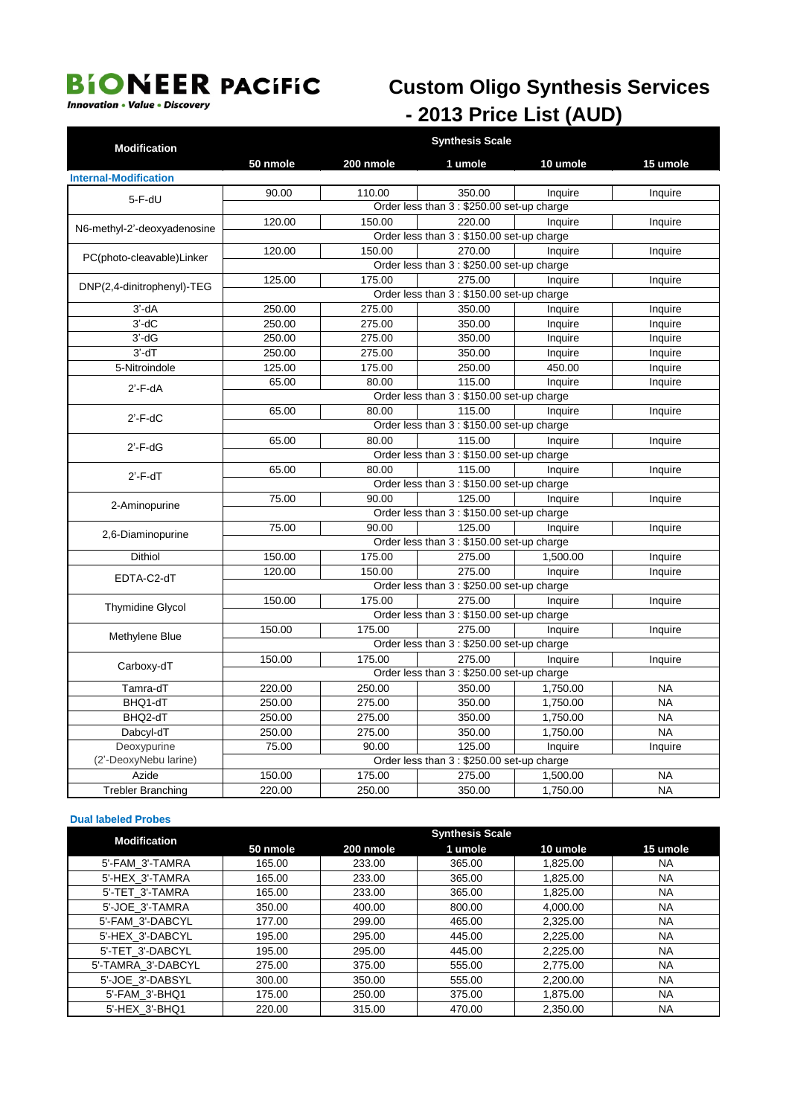#### **Innovation • Value • Discovery**

## **Custom Oligo Synthesis Services** - 2013 Price List (AUD)

| <b>Modification</b>                  | <b>Synthesis Scale</b>                     |           |                                            |          |           |  |  |  |
|--------------------------------------|--------------------------------------------|-----------|--------------------------------------------|----------|-----------|--|--|--|
|                                      | 50 nmole                                   | 200 nmole | 1 umole                                    | 10 umole | 15 umole  |  |  |  |
| <b>Internal-Modification</b>         |                                            |           |                                            |          |           |  |  |  |
| $5-F-dU$                             | 90.00                                      | 110.00    | 350.00                                     | Inquire  | Inquire   |  |  |  |
|                                      | Order less than 3 : \$250.00 set-up charge |           |                                            |          |           |  |  |  |
| N6-methyl-2'-deoxyadenosine          | 120.00                                     | 150.00    | 220.00                                     | Inquire  | Inquire   |  |  |  |
|                                      |                                            |           | Order less than 3 : \$150.00 set-up charge |          |           |  |  |  |
| PC(photo-cleavable)Linker            | 120.00                                     | 150.00    | 270.00                                     | Inquire  | Inquire   |  |  |  |
|                                      | Order less than 3 : \$250.00 set-up charge |           |                                            |          |           |  |  |  |
| DNP(2,4-dinitrophenyl)-TEG           | 125.00                                     | 175.00    | 275.00                                     | Inquire  | Inquire   |  |  |  |
|                                      | Order less than 3 : \$150.00 set-up charge |           |                                            |          |           |  |  |  |
| $3'-dA$                              | 250.00                                     | 275.00    | 350.00                                     | Inquire  | Inquire   |  |  |  |
| $3'-dC$                              | 250.00                                     | 275.00    | 350.00                                     | Inquire  | Inquire   |  |  |  |
| $3'-dG$                              | 250.00                                     | 275.00    | 350.00                                     | Inquire  | Inquire   |  |  |  |
| $3'$ -d $T$                          | 250.00                                     | 275.00    | 350.00                                     | Inquire  | Inquire   |  |  |  |
| 5-Nitroindole                        | 125.00                                     | 175.00    | 250.00                                     | 450.00   | Inquire   |  |  |  |
| $2'$ -F-dA                           | 65.00                                      | 80.00     | 115.00                                     | Inquire  | Inquire   |  |  |  |
|                                      | Order less than 3 : \$150.00 set-up charge |           |                                            |          |           |  |  |  |
| $2'$ -F-dC                           | 65.00                                      | 80.00     | 115.00                                     | Inquire  | Inquire   |  |  |  |
|                                      | Order less than 3 : \$150.00 set-up charge |           |                                            |          |           |  |  |  |
| $2'$ -F-dG                           | 65.00                                      | 80.00     | 115.00                                     | Inquire  | Inquire   |  |  |  |
|                                      |                                            |           | Order less than 3 : \$150.00 set-up charge |          |           |  |  |  |
| $2'$ - $F$ -d $T$                    | 65.00                                      | 80.00     | 115.00                                     | Inquire  | Inquire   |  |  |  |
|                                      | Order less than 3 : \$150.00 set-up charge |           |                                            |          |           |  |  |  |
| 2-Aminopurine                        | 75.00                                      | 90.00     | 125.00                                     | Inquire  | Inquire   |  |  |  |
|                                      | Order less than 3 : \$150.00 set-up charge |           |                                            |          |           |  |  |  |
| 2,6-Diaminopurine                    | 75.00                                      | 90.00     | 125.00                                     | Inquire  | Inquire   |  |  |  |
|                                      |                                            |           | Order less than 3 : \$150.00 set-up charge |          |           |  |  |  |
| <b>Dithiol</b>                       | 150.00                                     | 175.00    | 275.00                                     | 1,500.00 | Inquire   |  |  |  |
| EDTA-C2-dT                           | 120.00                                     | 150.00    | 275.00                                     | Inquire  | Inquire   |  |  |  |
|                                      | Order less than 3 : \$250.00 set-up charge |           |                                            |          |           |  |  |  |
| <b>Thymidine Glycol</b>              | 150.00                                     | 175.00    | 275.00                                     | Inquire  | Inquire   |  |  |  |
|                                      |                                            |           | Order less than 3 : \$150.00 set-up charge |          |           |  |  |  |
| Methylene Blue                       | 150.00                                     | 175.00    | 275.00                                     | Inquire  | Inquire   |  |  |  |
|                                      |                                            |           | Order less than 3 : \$250.00 set-up charge |          |           |  |  |  |
| Carboxy-dT                           | 150.00                                     | 175.00    | 275.00                                     | Inquire  | Inquire   |  |  |  |
|                                      |                                            |           | Order less than 3 : \$250.00 set-up charge |          |           |  |  |  |
| Tamra-dT                             | 220.00                                     | 250.00    | 350.00                                     | 1.750.00 | <b>NA</b> |  |  |  |
| BHQ1-dT                              | 250.00                                     | 275.00    | 350.00                                     | 1,750.00 | <b>NA</b> |  |  |  |
| BHQ2-dT                              | 250.00                                     | 275.00    | 350.00                                     | 1.750.00 | <b>NA</b> |  |  |  |
| Dabcyl-dT                            | 250.00                                     | 275.00    | 350.00                                     | 1,750.00 | <b>NA</b> |  |  |  |
| Deoxypurine<br>(2'-DeoxyNebu larine) | 75.00                                      | 90.00     | 125.00                                     | Inquire  | Inquire   |  |  |  |
|                                      |                                            |           | Order less than 3 : \$250.00 set-up charge |          |           |  |  |  |
| Azide                                | 150.00                                     | 175.00    | 275.00                                     | 1,500.00 | <b>NA</b> |  |  |  |
| <b>Trebler Branching</b>             | 220.00                                     | 250.00    | 350.00                                     | 1,750.00 | <b>NA</b> |  |  |  |

#### **Dual labeled Probes**

| <b>Modification</b> | <b>Synthesis Scale</b> |           |         |          |           |  |  |
|---------------------|------------------------|-----------|---------|----------|-----------|--|--|
|                     | 50 nmole               | 200 nmole | 1 umole | 10 umole | 15 umole  |  |  |
| 5'-FAM 3'-TAMRA     | 165.00                 | 233.00    | 365.00  | 1,825.00 | <b>NA</b> |  |  |
| 5'-HEX 3'-TAMRA     | 165.00                 | 233.00    | 365.00  | 1,825.00 | <b>NA</b> |  |  |
| 5'-TET 3'-TAMRA     | 165.00                 | 233.00    | 365.00  | 1,825.00 | <b>NA</b> |  |  |
| 5'-JOE 3'-TAMRA     | 350.00                 | 400.00    | 800.00  | 4,000.00 | <b>NA</b> |  |  |
| 5'-FAM 3'-DABCYL    | 177.00                 | 299.00    | 465.00  | 2,325.00 | <b>NA</b> |  |  |
| 5'-HEX 3'-DABCYL    | 195.00                 | 295.00    | 445.00  | 2.225.00 | <b>NA</b> |  |  |
| 5'-TET 3'-DABCYL    | 195.00                 | 295.00    | 445.00  | 2.225.00 | <b>NA</b> |  |  |
| 5'-TAMRA 3'-DABCYL  | 275.00                 | 375.00    | 555.00  | 2,775.00 | <b>NA</b> |  |  |
| 5'-JOE 3'-DABSYL    | 300.00                 | 350.00    | 555.00  | 2,200.00 | <b>NA</b> |  |  |
| 5'-FAM 3'-BHQ1      | 175.00                 | 250.00    | 375.00  | 1,875.00 | <b>NA</b> |  |  |
| 5'-HEX 3'-BHQ1      | 220.00                 | 315.00    | 470.00  | 2.350.00 | <b>NA</b> |  |  |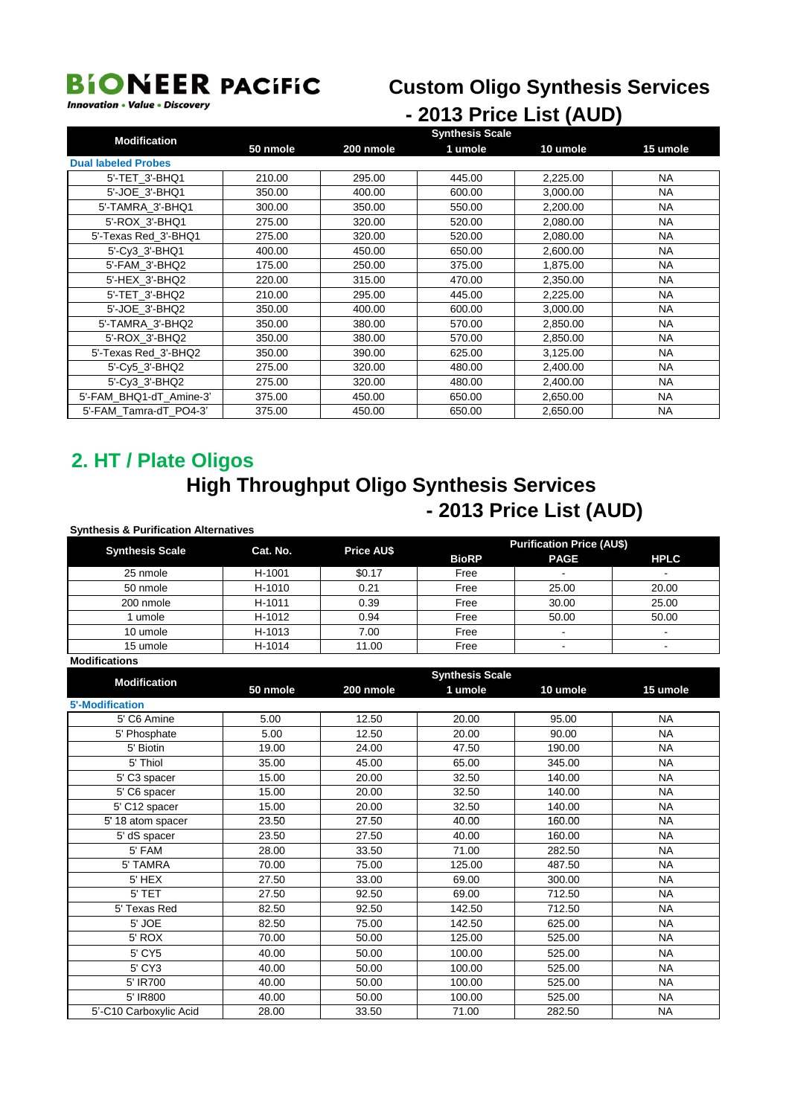#### **Custom Oligo Synthesis Services**

**Innovation • Value • Discovery** 

### - 2013 Price List (AUD)

| <b>Modification</b>        | <b>Synthesis Scale</b> |           |         |          |           |  |  |  |
|----------------------------|------------------------|-----------|---------|----------|-----------|--|--|--|
|                            | 50 nmole               | 200 nmole | 1 umole | 10 umole | 15 umole  |  |  |  |
| <b>Dual labeled Probes</b> |                        |           |         |          |           |  |  |  |
| 5'-TET 3'-BHQ1             | 210.00                 | 295.00    | 445.00  | 2,225.00 | NA.       |  |  |  |
| 5'-JOE 3'-BHQ1             | 350.00                 | 400.00    | 600.00  | 3,000.00 | <b>NA</b> |  |  |  |
| 5'-TAMRA 3'-BHQ1           | 300.00                 | 350.00    | 550.00  | 2,200.00 | NA        |  |  |  |
| 5'-ROX 3'-BHQ1             | 275.00                 | 320.00    | 520.00  | 2,080.00 | <b>NA</b> |  |  |  |
| 5'-Texas Red 3'-BHQ1       | 275.00                 | 320.00    | 520.00  | 2,080.00 | NA.       |  |  |  |
| 5'-Cv3 3'-BHQ1             | 400.00                 | 450.00    | 650.00  | 2,600.00 | <b>NA</b> |  |  |  |
| 5'-FAM 3'-BHQ2             | 175.00                 | 250.00    | 375.00  | 1,875.00 | <b>NA</b> |  |  |  |
| 5'-HEX 3'-BHQ2             | 220.00                 | 315.00    | 470.00  | 2,350.00 | NA.       |  |  |  |
| 5'-TET 3'-BHQ2             | 210.00                 | 295.00    | 445.00  | 2,225.00 | <b>NA</b> |  |  |  |
| 5'-JOE 3'-BHQ2             | 350.00                 | 400.00    | 600.00  | 3,000.00 | NA.       |  |  |  |
| 5'-TAMRA 3'-BHQ2           | 350.00                 | 380.00    | 570.00  | 2,850.00 | <b>NA</b> |  |  |  |
| 5'-ROX 3'-BHQ2             | 350.00                 | 380.00    | 570.00  | 2,850.00 | NA        |  |  |  |
| 5'-Texas Red 3'-BHQ2       | 350.00                 | 390.00    | 625.00  | 3,125.00 | NA        |  |  |  |
| 5'-Cv5 3'-BHQ2             | 275.00                 | 320.00    | 480.00  | 2,400.00 | NA.       |  |  |  |
| 5'-Cy3_3'-BHQ2             | 275.00                 | 320.00    | 480.00  | 2,400.00 | <b>NA</b> |  |  |  |
| 5'-FAM BHQ1-dT Amine-3'    | 375.00                 | 450.00    | 650.00  | 2,650.00 | <b>NA</b> |  |  |  |
| 5'-FAM Tamra-dT PO4-3'     | 375.00                 | 450.00    | 650.00  | 2,650.00 | <b>NA</b> |  |  |  |

#### 2. HT / Plate Oligos **High Throughput Oligo Synthesis Services** - 2013 Price List (AUD)

#### **Synthesis & Purification Alternatives**

|                        |          | <b>Price AU\$</b> | <b>Purification Price (AU\$)</b> |             |             |  |
|------------------------|----------|-------------------|----------------------------------|-------------|-------------|--|
| <b>Synthesis Scale</b> | Cat. No. |                   | <b>BioRP</b>                     | <b>PAGE</b> | <b>HPLC</b> |  |
| 25 nmole               | H-1001   | \$0.17            | Free                             |             |             |  |
| 50 nmole               | H-1010   | 0.21              | Free                             | 25.00       | 20.00       |  |
| 200 nmole              | H-1011   | 0.39              | Free                             | 30.00       | 25.00       |  |
| 1 umole                | H-1012   | 0.94              | Free                             | 50.00       | 50.00       |  |
| 10 umole               | H-1013   | 7.00              | Free                             |             |             |  |
| 15 umole               | H-1014   | 11.00             | Free                             |             |             |  |
| <b>Modifications</b>   |          |                   |                                  |             |             |  |
| <b>Modification</b>    |          |                   | <b>Synthesis Scale</b>           |             |             |  |
|                        | 50 nmole | 200 nmole         | 1 umole                          | 10 umole    | 15 umole    |  |
| <b>5'-Modification</b> |          |                   |                                  |             |             |  |
| 5' C6 Amine            | 5.00     | 12.50             | 20.00                            | 95.00       | <b>NA</b>   |  |
| 5' Phosphate           | 5.00     | 12.50             | 20.00                            | 90.00       | <b>NA</b>   |  |
| 5' Biotin              | 19.00    | 24.00             | 47.50                            | 190.00      | <b>NA</b>   |  |
| 5' Thiol               | 35.00    | 45.00             | 65.00                            | 345.00      | <b>NA</b>   |  |
| 5' C3 spacer           | 15.00    | 20.00             | 32.50                            | 140.00      | <b>NA</b>   |  |
| 5' C6 spacer           | 15.00    | 20.00             | 32.50                            | 140.00      | <b>NA</b>   |  |
| 5' C12 spacer          | 15.00    | 20.00             | 32.50                            | 140.00      | <b>NA</b>   |  |
| 5' 18 atom spacer      | 23.50    | 27.50             | 40.00                            | 160.00      | <b>NA</b>   |  |
| 5' dS spacer           | 23.50    | 27.50             | 40.00                            | 160.00      | <b>NA</b>   |  |
| 5' FAM                 | 28.00    | 33.50             | 71.00                            | 282.50      | <b>NA</b>   |  |
| 5' TAMRA               | 70.00    | 75.00             | 125.00                           | 487.50      | <b>NA</b>   |  |
| 5' HEX                 | 27.50    | 33.00             | 69.00                            | 300.00      | <b>NA</b>   |  |
| 5' TET                 | 27.50    | 92.50             | 69.00                            | 712.50      | <b>NA</b>   |  |
| 5' Texas Red           | 82.50    | 92.50             | 142.50                           | 712.50      | <b>NA</b>   |  |
| 5' JOE                 | 82.50    | 75.00             | 142.50                           | 625.00      | <b>NA</b>   |  |
| 5' ROX                 | 70.00    | 50.00             | 125.00                           | 525.00      | <b>NA</b>   |  |
| 5' CY5                 | 40.00    | 50.00             | 100.00                           | 525.00      | <b>NA</b>   |  |
| 5' CY3                 | 40.00    | 50.00             | 100.00                           | 525.00      | <b>NA</b>   |  |
| 5' IR700               | 40.00    | 50.00             | 100.00                           | 525.00      | <b>NA</b>   |  |
| 5' IR800               | 40.00    | 50.00             | 100.00                           | 525.00      | <b>NA</b>   |  |
| 5'-C10 Carboxvlic Acid | 28.00    | 33.50             | 71.00                            | 282.50      | <b>NA</b>   |  |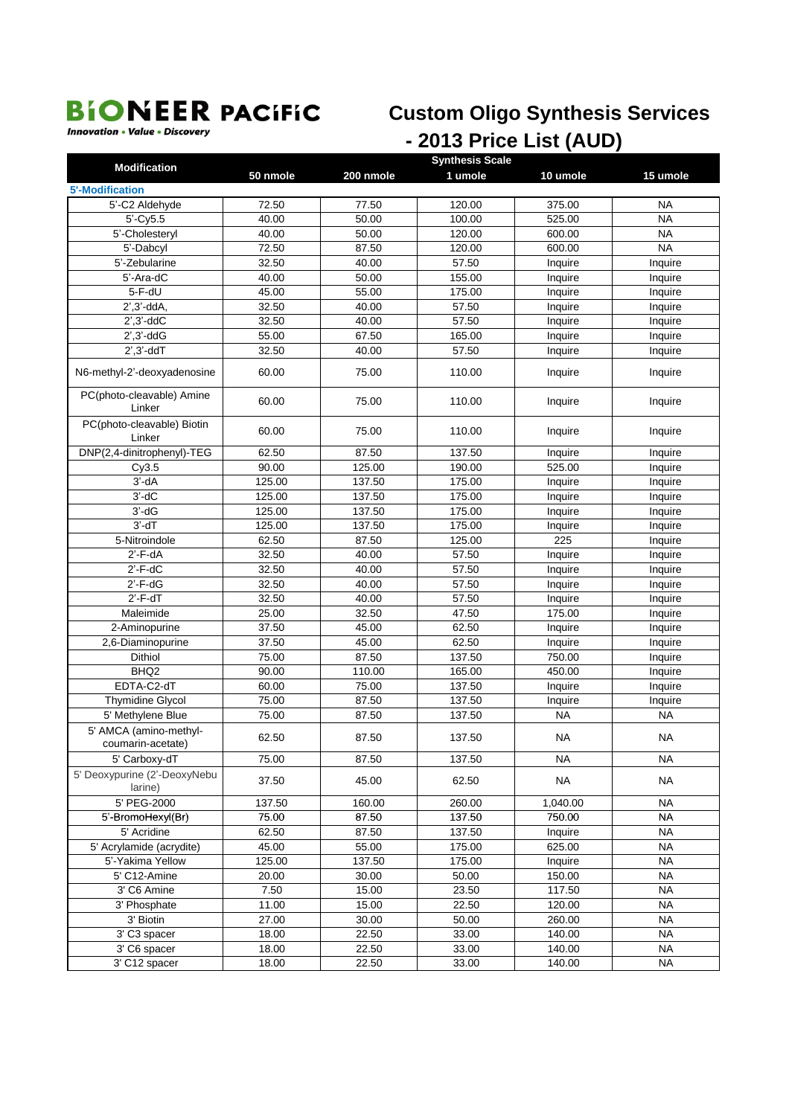**Innovation • Value • Discovery** 

### **Custom Oligo Synthesis Services** - 2013 Price List (AUD)

| <b>Modification</b>                     | <b>Synthesis Scale</b> |           |         |           |           |  |  |
|-----------------------------------------|------------------------|-----------|---------|-----------|-----------|--|--|
|                                         | 50 nmole               | 200 nmole | 1 umole | 10 umole  | 15 umole  |  |  |
| <b>5'-Modification</b>                  |                        |           |         |           |           |  |  |
| 5'-C2 Aldehyde                          | 72.50                  | 77.50     | 120.00  | 375.00    | <b>NA</b> |  |  |
| $5'-Cy5.5$                              | 40.00                  | 50.00     | 100.00  | 525.00    | <b>NA</b> |  |  |
| 5'-Cholesteryl                          | 40.00                  | 50.00     | 120.00  | 600.00    | <b>NA</b> |  |  |
| 5'-Dabcyl                               | 72.50                  | 87.50     | 120.00  | 600.00    | <b>NA</b> |  |  |
| 5'-Zebularine                           | 32.50                  | 40.00     | 57.50   | Inquire   | Inquire   |  |  |
| 5'-Ara-dC                               | 40.00                  | 50.00     | 155.00  | Inquire   | Inquire   |  |  |
| $5-F-dU$                                | 45.00                  | 55.00     | 175.00  | Inquire   | Inquire   |  |  |
| $2^{\prime}$ , $3^{\prime}$ -dd $A$ ,   | 32.50                  | 40.00     | 57.50   | Inquire   | Inquire   |  |  |
| $2^{\prime}$ , $3^{\prime}$ -dd $C$     | 32.50                  | 40.00     | 57.50   | Inquire   | Inquire   |  |  |
| $2^{\prime}$ , $3^{\prime}$ -dd $G$     | 55.00                  | 67.50     | 165.00  | Inquire   | Inquire   |  |  |
| $2^{\prime}$ , $3^{\prime}$ -dd $T$     | 32.50                  | 40.00     | 57.50   | Inquire   | Inquire   |  |  |
| N6-methyl-2'-deoxyadenosine             | 60.00                  | 75.00     | 110.00  | Inquire   | Inquire   |  |  |
| PC(photo-cleavable) Amine<br>Linker     | 60.00                  | 75.00     | 110.00  | Inquire   | Inquire   |  |  |
| PC(photo-cleavable) Biotin<br>Linker    | 60.00                  | 75.00     | 110.00  | Inquire   | Inquire   |  |  |
| DNP(2,4-dinitrophenyl)-TEG              | 62.50                  | 87.50     | 137.50  | Inquire   | Inquire   |  |  |
| Cy3.5                                   | 90.00                  | 125.00    | 190.00  | 525.00    | Inquire   |  |  |
| $3'-dA$                                 | 125.00                 | 137.50    | 175.00  | Inquire   | Inquire   |  |  |
| $3'-dC$                                 | 125.00                 | 137.50    | 175.00  | Inquire   | Inquire   |  |  |
| $3'-dG$                                 | 125.00                 | 137.50    | 175.00  | Inquire   | Inquire   |  |  |
| $3'-dT$                                 | 125.00                 | 137.50    | 175.00  | Inquire   | Inquire   |  |  |
| 5-Nitroindole                           | 62.50                  | 87.50     | 125.00  | 225       | Inquire   |  |  |
| $2'$ -F-dA                              | 32.50                  | 40.00     | 57.50   | Inquire   | Inquire   |  |  |
| $2'$ -F-dC                              | 32.50                  | 40.00     | 57.50   | Inquire   | Inquire   |  |  |
| $2'$ -F-dG                              | 32.50                  | 40.00     | 57.50   | Inquire   | Inquire   |  |  |
| $2'$ -F-d $T$                           | 32.50                  | 40.00     | 57.50   | Inquire   | Inquire   |  |  |
| Maleimide                               | 25.00                  | 32.50     | 47.50   | 175.00    | Inquire   |  |  |
| 2-Aminopurine                           | 37.50                  | 45.00     | 62.50   | Inquire   | Inquire   |  |  |
| 2,6-Diaminopurine                       | 37.50                  | 45.00     | 62.50   | Inquire   | Inquire   |  |  |
| Dithiol                                 | 75.00                  | 87.50     | 137.50  | 750.00    | Inquire   |  |  |
| BHQ <sub>2</sub>                        | 90.00                  | 110.00    | 165.00  | 450.00    | Inquire   |  |  |
| EDTA-C2-dT                              | 60.00                  | 75.00     | 137.50  | Inquire   | Inquire   |  |  |
| Thymidine Glycol                        | 75.00                  | 87.50     | 137.50  | Inquire   | Inquire   |  |  |
| 5' Methylene Blue                       | 75.00                  | 87.50     | 137.50  | <b>NA</b> | <b>NA</b> |  |  |
| 5' AMCA (amino-methyl-                  |                        |           |         |           |           |  |  |
| coumarin-acetate)                       | 62.50                  | 87.50     | 137.50  | <b>NA</b> | <b>NA</b> |  |  |
| 5' Carboxy-dT                           | 75.00                  | 87.50     | 137.50  | NA        | NA        |  |  |
| 5' Deoxypurine (2'-DeoxyNebu<br>larine) | 37.50                  | 45.00     | 62.50   | <b>NA</b> | <b>NA</b> |  |  |
| 5' PEG-2000                             | 137.50                 | 160.00    | 260.00  | 1,040.00  | <b>NA</b> |  |  |
| 5'-BromoHexyl(Br)                       | 75.00                  | 87.50     | 137.50  | 750.00    | <b>NA</b> |  |  |
| 5' Acridine                             | 62.50                  | 87.50     | 137.50  | Inquire   | <b>NA</b> |  |  |
| 5' Acrylamide (acrydite)                | 45.00                  | 55.00     | 175.00  | 625.00    | <b>NA</b> |  |  |
| 5'-Yakima Yellow                        | 125.00                 | 137.50    | 175.00  | Inquire   | <b>NA</b> |  |  |
| 5' C12-Amine                            | 20.00                  | 30.00     | 50.00   | 150.00    | <b>NA</b> |  |  |
| 3' C6 Amine                             | 7.50                   | 15.00     | 23.50   | 117.50    | <b>NA</b> |  |  |
| 3' Phosphate                            | 11.00                  | 15.00     | 22.50   | 120.00    | <b>NA</b> |  |  |
| 3' Biotin                               | 27.00                  | 30.00     | 50.00   | 260.00    | <b>NA</b> |  |  |
| 3' C3 spacer                            | 18.00                  | 22.50     | 33.00   | 140.00    | NA        |  |  |
| 3' C6 spacer                            | 18.00                  | 22.50     | 33.00   | 140.00    | <b>NA</b> |  |  |
| 3' C12 spacer                           | 18.00                  | 22.50     | 33.00   | 140.00    | <b>NA</b> |  |  |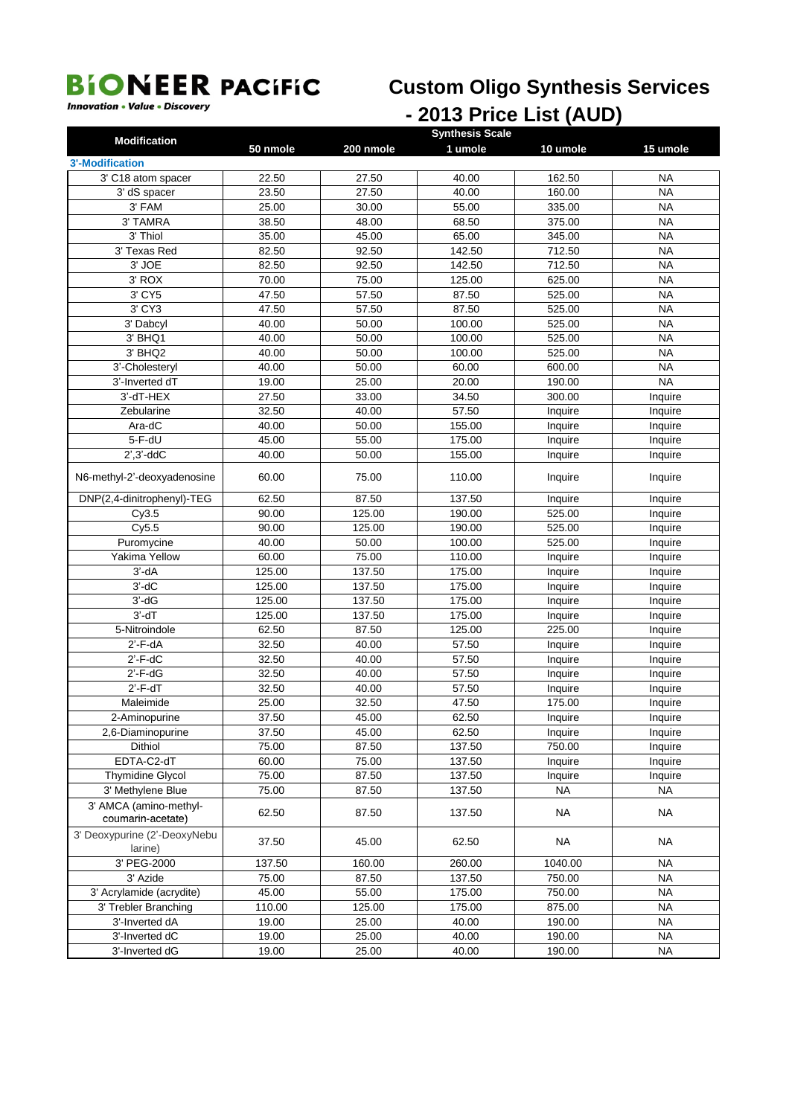## **Custom Oligo Synthesis Services**

**Innovation • Value • Discovery** 

## - 2013 Price List (AUD)

| <b>Modification</b>                         |          |           | <b>Synthesis Scale</b> |           |           |
|---------------------------------------------|----------|-----------|------------------------|-----------|-----------|
|                                             | 50 nmole | 200 nmole | 1 umole                | 10 umole  | 15 umole  |
| <b>3'-Modification</b>                      |          |           |                        |           |           |
| 3' C18 atom spacer                          | 22.50    | 27.50     | 40.00                  | 162.50    | NA        |
| 3' dS spacer                                | 23.50    | 27.50     | 40.00                  | 160.00    | <b>NA</b> |
| 3' FAM                                      | 25.00    | 30.00     | 55.00                  | 335.00    | <b>NA</b> |
| 3' TAMRA                                    | 38.50    | 48.00     | 68.50                  | 375.00    | <b>NA</b> |
| 3' Thiol                                    | 35.00    | 45.00     | 65.00                  | 345.00    | <b>NA</b> |
| 3' Texas Red                                | 82.50    | 92.50     | 142.50                 | 712.50    | <b>NA</b> |
| 3' JOE                                      | 82.50    | 92.50     | 142.50                 | 712.50    | <b>NA</b> |
| 3' ROX                                      | 70.00    | 75.00     | 125.00                 | 625.00    | <b>NA</b> |
| 3' CY5                                      | 47.50    | 57.50     | 87.50                  | 525.00    | <b>NA</b> |
| 3' CY3                                      | 47.50    | 57.50     | 87.50                  | 525.00    | <b>NA</b> |
| 3' Dabcyl                                   | 40.00    | 50.00     | 100.00                 | 525.00    | <b>NA</b> |
| 3' BHQ1                                     | 40.00    | 50.00     | 100.00                 | 525.00    | <b>NA</b> |
| 3' BHQ2                                     | 40.00    | 50.00     | 100.00                 | 525.00    | <b>NA</b> |
| 3'-Cholesteryl                              | 40.00    | 50.00     | 60.00                  | 600.00    | <b>NA</b> |
| 3'-Inverted dT                              | 19.00    | 25.00     | 20.00                  | 190.00    | <b>NA</b> |
| 3'-dT-HEX                                   | 27.50    | 33.00     | 34.50                  | 300.00    | Inquire   |
| Zebularine                                  | 32.50    | 40.00     | 57.50                  | Inquire   | Inquire   |
| Ara-dC                                      | 40.00    | 50.00     | 155.00                 | Inquire   | Inquire   |
| 5-F-dU                                      | 45.00    | 55.00     | 175.00                 | Inquire   | Inquire   |
| $2^{\prime}$ , $3^{\prime}$ -dd $C$         | 40.00    | 50.00     | 155.00                 | Inquire   | Inquire   |
| N6-methyl-2'-deoxyadenosine                 | 60.00    | 75.00     | 110.00                 | Inquire   | Inquire   |
| DNP(2,4-dinitrophenyl)-TEG                  | 62.50    | 87.50     | 137.50                 | Inquire   | Inquire   |
| Cy3.5                                       | 90.00    | 125.00    | 190.00                 | 525.00    | Inquire   |
| Cy5.5                                       | 90.00    | 125.00    | 190.00                 | 525.00    | Inquire   |
| Puromycine                                  | 40.00    | 50.00     | 100.00                 | 525.00    | Inquire   |
| Yakima Yellow                               | 60.00    | 75.00     | 110.00                 | Inquire   | Inquire   |
| $3'$ -d $A$                                 | 125.00   | 137.50    | 175.00                 | Inquire   | Inquire   |
| $3'-dC$                                     | 125.00   | 137.50    | 175.00                 | Inquire   | Inquire   |
| $3'-dG$                                     | 125.00   | 137.50    | 175.00                 | Inquire   | Inquire   |
| $3'-dT$                                     | 125.00   | 137.50    | 175.00                 | Inquire   | Inquire   |
| 5-Nitroindole                               | 62.50    | 87.50     | 125.00                 | 225.00    | Inquire   |
| $2'$ -F-dA                                  | 32.50    | 40.00     | 57.50                  | Inquire   | Inquire   |
| $2'$ -F-dC                                  | 32.50    | 40.00     | 57.50                  | Inquire   | Inquire   |
| $2'$ -F-dG                                  | 32.50    | 40.00     | 57.50                  | Inquire   | Inquire   |
| $2'$ -F-dT                                  | 32.50    | 40.00     | 57.50                  | Inquire   | Inquire   |
| Maleimide                                   | 25.00    | 32.50     | 47.50                  | 175.00    | Inquire   |
| 2-Aminopurine                               | 37.50    | 45.00     | 62.50                  | Inquire   | Inquire   |
| 2,6-Diaminopurine                           | 37.50    | 45.00     | 62.50                  | Inquire   | Inquire   |
| Dithiol                                     | 75.00    | 87.50     | 137.50                 | 750.00    | Inquire   |
| EDTA-C2-dT                                  | 60.00    | 75.00     | 137.50                 | Inquire   | Inquire   |
| <b>Thymidine Glycol</b>                     | 75.00    | 87.50     | 137.50                 | Inquire   | Inquire   |
| 3' Methylene Blue                           | 75.00    | 87.50     | 137.50                 | <b>NA</b> | <b>NA</b> |
| 3' AMCA (amino-methyl-<br>coumarin-acetate) | 62.50    | 87.50     | 137.50                 | <b>NA</b> | <b>NA</b> |
| 3' Deoxypurine (2'-DeoxyNebu<br>larine)     | 37.50    | 45.00     | 62.50                  | <b>NA</b> | <b>NA</b> |
| 3' PEG-2000                                 | 137.50   | 160.00    | 260.00                 | 1040.00   | <b>NA</b> |
| 3' Azide                                    | 75.00    | 87.50     | 137.50                 | 750.00    | <b>NA</b> |
| 3' Acrylamide (acrydite)                    | 45.00    | 55.00     | 175.00                 | 750.00    | NA        |
| 3' Trebler Branching                        | 110.00   | 125.00    | 175.00                 | 875.00    | <b>NA</b> |
| 3'-Inverted dA                              | 19.00    | 25.00     | 40.00                  | 190.00    | <b>NA</b> |
| 3'-Inverted dC                              | 19.00    | 25.00     | 40.00                  | 190.00    | NA        |
| 3'-Inverted dG                              | 19.00    | 25.00     | 40.00                  | 190.00    | <b>NA</b> |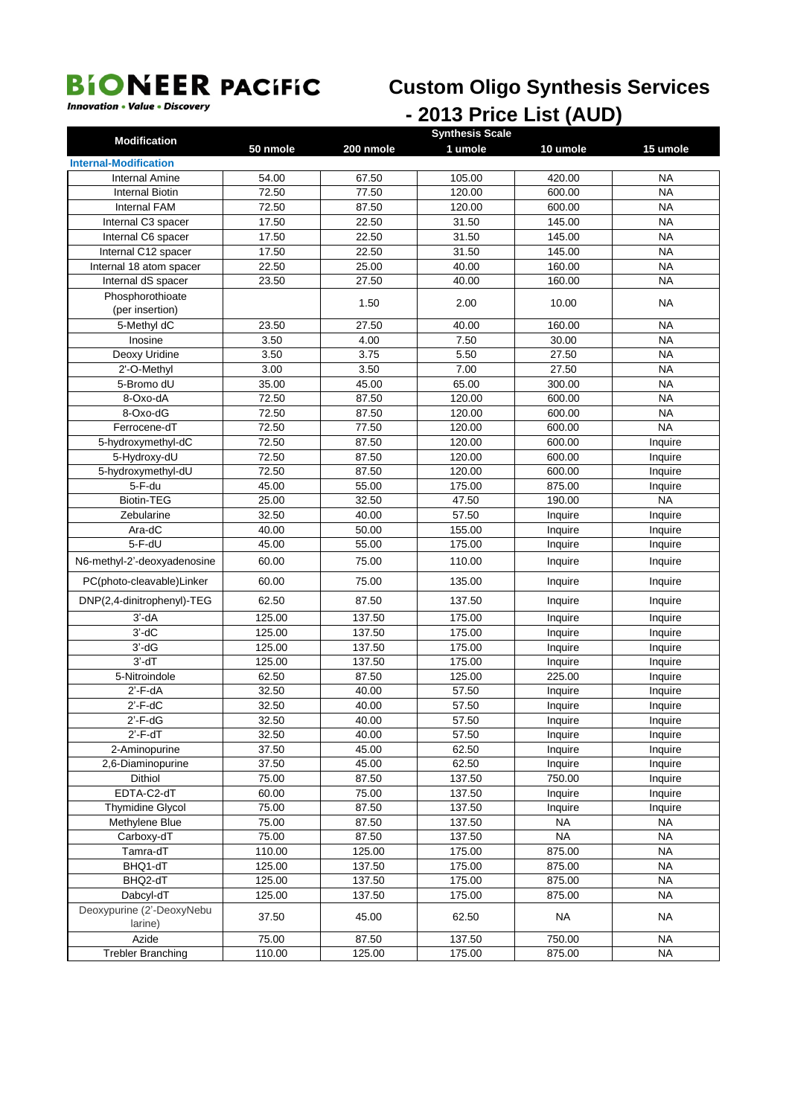## **Custom Oligo Synthesis Services**

## *Innovation • Value • Discovery* **- 2013 Price List** (AUD)

| <b>Internal-Modification</b><br>54.00<br>67.50<br>105.00<br>420.00<br><b>NA</b><br><b>Internal Amine</b><br><b>NA</b><br>72.50<br>77.50<br>120.00<br>600.00<br>Internal Biotin<br><b>Internal FAM</b><br>72.50<br>87.50<br>120.00<br>600.00<br><b>NA</b><br>Internal C3 spacer<br>17.50<br>22.50<br>31.50<br>145.00<br><b>NA</b><br>Internal C6 spacer<br>17.50<br>22.50<br>31.50<br>145.00<br><b>NA</b><br>17.50<br>22.50<br>31.50<br>145.00<br><b>NA</b><br>Internal C12 spacer<br>22.50<br>25.00<br>40.00<br>160.00<br><b>NA</b><br>Internal 18 atom spacer<br>23.50<br>27.50<br>40.00<br><b>NA</b><br>Internal dS spacer<br>160.00<br>Phosphorothioate<br>1.50<br>2.00<br>10.00<br>ΝA<br>(per insertion)<br>5-Methyl dC<br>23.50<br>160.00<br><b>NA</b><br>27.50<br>40.00<br>3.50<br>4.00<br>7.50<br>30.00<br><b>NA</b><br>Inosine<br>3.50<br>3.75<br>5.50<br>27.50<br>Deoxy Uridine<br>NA<br>3.00<br>3.50<br>7.00<br><b>NA</b><br>2'-O-Methyl<br>27.50<br>35.00<br><b>NA</b><br>5-Bromo dU<br>45.00<br>65.00<br>300.00<br>8-Oxo-dA<br>72.50<br>87.50<br>120.00<br>600.00<br><b>NA</b><br>8-Oxo-dG<br>72.50<br>120.00<br>600.00<br><b>NA</b><br>87.50<br>72.50<br>77.50<br>120.00<br>600.00<br><b>NA</b><br>Ferrocene-dT<br>5-hydroxymethyl-dC<br>72.50<br>87.50<br>120.00<br>600.00<br>Inquire<br>5-Hydroxy-dU<br>72.50<br>87.50<br>120.00<br>600.00<br>Inquire<br>5-hydroxymethyl-dU<br>72.50<br>87.50<br>120.00<br>600.00<br>Inquire<br>5-F-du<br>45.00<br>55.00<br>175.00<br>875.00<br>Inquire<br><b>Biotin-TEG</b><br><b>NA</b><br>25.00<br>32.50<br>47.50<br>190.00<br>57.50<br>32.50<br>40.00<br>Zebularine<br>Inquire<br>Inquire<br>Ara-dC<br>40.00<br>50.00<br>155.00<br>Inquire<br>Inquire<br>5-F-dU<br>55.00<br>175.00<br>45.00<br>Inquire<br>Inquire<br>60.00<br>75.00<br>110.00<br>N6-methyl-2'-deoxyadenosine<br>Inquire<br>Inquire<br>75.00<br>PC(photo-cleavable)Linker<br>60.00<br>135.00<br>Inquire<br>Inquire<br>DNP(2,4-dinitrophenyl)-TEG<br>87.50<br>62.50<br>137.50<br>Inquire<br>Inquire<br>$3'$ -d $A$<br>125.00<br>137.50<br>175.00<br>Inquire<br>Inquire<br>$3'-dC$<br>125.00<br>137.50<br>175.00<br>Inquire<br>Inquire<br>$3'$ -d $G$<br>125.00<br>137.50<br>175.00<br>Inquire<br>Inquire<br>$3'$ -d $T$<br>125.00<br>137.50<br>175.00<br>Inquire<br>Inquire<br>5-Nitroindole<br>62.50<br>87.50<br>125.00<br>225.00<br>Inquire<br>$2'$ -F-dA<br>32.50<br>40.00<br>57.50<br>Inquire<br>Inquire<br>32.50<br>$2'$ -F-dC<br>40.00<br>57.50<br>Inquire<br>Inquire<br>$2'$ - $F$ -d $G$<br>32.50<br>40.00<br>57.50<br>Inquire<br>Inquire<br>$2'$ -F-dT<br>32.50<br>40.00<br>57.50<br>Inquire<br>Inquire<br>37.50<br>45.00<br>62.50<br>2-Aminopurine<br>Inquire<br>Inquire<br>37.50<br>45.00<br>62.50<br>2,6-Diaminopurine<br>Inquire<br>Inquire<br><b>Dithiol</b><br>75.00<br>87.50<br>137.50<br>750.00<br>Inquire<br>EDTA-C2-dT<br>75.00<br>137.50<br>60.00<br>Inquire<br>Inquire<br><b>Thymidine Glycol</b><br>137.50<br>75.00<br>87.50<br>Inquire<br>Inquire<br>75.00<br><b>NA</b><br><b>NA</b><br>Methylene Blue<br>87.50<br>137.50<br><b>NA</b><br>75.00<br>87.50<br>137.50<br><b>NA</b><br>Carboxy-dT<br>Tamra-dT<br>110.00<br>125.00<br>175.00<br>875.00<br><b>NA</b><br>125.00<br>137.50<br>175.00<br>875.00<br><b>NA</b><br>BHQ1-dT<br>125.00<br>137.50<br>175.00<br>875.00<br><b>NA</b><br>BHQ2-dT<br>175.00<br>Dabcyl-dT<br>125.00<br>137.50<br>875.00<br><b>NA</b><br>Deoxypurine (2'-DeoxyNebu<br><b>NA</b><br>37.50<br>45.00<br>62.50<br><b>NA</b><br>larine)<br>Azide<br>75.00<br>87.50<br>137.50<br>750.00<br><b>NA</b><br>110.00 | <b>Modification</b>      |          |           | <b>Synthesis Scale</b> |          |           |
|-----------------------------------------------------------------------------------------------------------------------------------------------------------------------------------------------------------------------------------------------------------------------------------------------------------------------------------------------------------------------------------------------------------------------------------------------------------------------------------------------------------------------------------------------------------------------------------------------------------------------------------------------------------------------------------------------------------------------------------------------------------------------------------------------------------------------------------------------------------------------------------------------------------------------------------------------------------------------------------------------------------------------------------------------------------------------------------------------------------------------------------------------------------------------------------------------------------------------------------------------------------------------------------------------------------------------------------------------------------------------------------------------------------------------------------------------------------------------------------------------------------------------------------------------------------------------------------------------------------------------------------------------------------------------------------------------------------------------------------------------------------------------------------------------------------------------------------------------------------------------------------------------------------------------------------------------------------------------------------------------------------------------------------------------------------------------------------------------------------------------------------------------------------------------------------------------------------------------------------------------------------------------------------------------------------------------------------------------------------------------------------------------------------------------------------------------------------------------------------------------------------------------------------------------------------------------------------------------------------------------------------------------------------------------------------------------------------------------------------------------------------------------------------------------------------------------------------------------------------------------------------------------------------------------------------------------------------------------------------------------------------------------------------------------------------------------------------------------------------------------------------------------------------------------------------------------------------------------------------------------------------------------------------------------------------------------------------------------------------------------------------------------------------------------------------------------------------------------------------------------------------------------------------------------------------------------------|--------------------------|----------|-----------|------------------------|----------|-----------|
|                                                                                                                                                                                                                                                                                                                                                                                                                                                                                                                                                                                                                                                                                                                                                                                                                                                                                                                                                                                                                                                                                                                                                                                                                                                                                                                                                                                                                                                                                                                                                                                                                                                                                                                                                                                                                                                                                                                                                                                                                                                                                                                                                                                                                                                                                                                                                                                                                                                                                                                                                                                                                                                                                                                                                                                                                                                                                                                                                                                                                                                                                                                                                                                                                                                                                                                                                                                                                                                                                                                                                                             |                          | 50 nmole | 200 nmole | 1 umole                | 10 umole | 15 umole  |
|                                                                                                                                                                                                                                                                                                                                                                                                                                                                                                                                                                                                                                                                                                                                                                                                                                                                                                                                                                                                                                                                                                                                                                                                                                                                                                                                                                                                                                                                                                                                                                                                                                                                                                                                                                                                                                                                                                                                                                                                                                                                                                                                                                                                                                                                                                                                                                                                                                                                                                                                                                                                                                                                                                                                                                                                                                                                                                                                                                                                                                                                                                                                                                                                                                                                                                                                                                                                                                                                                                                                                                             |                          |          |           |                        |          |           |
|                                                                                                                                                                                                                                                                                                                                                                                                                                                                                                                                                                                                                                                                                                                                                                                                                                                                                                                                                                                                                                                                                                                                                                                                                                                                                                                                                                                                                                                                                                                                                                                                                                                                                                                                                                                                                                                                                                                                                                                                                                                                                                                                                                                                                                                                                                                                                                                                                                                                                                                                                                                                                                                                                                                                                                                                                                                                                                                                                                                                                                                                                                                                                                                                                                                                                                                                                                                                                                                                                                                                                                             |                          |          |           |                        |          |           |
|                                                                                                                                                                                                                                                                                                                                                                                                                                                                                                                                                                                                                                                                                                                                                                                                                                                                                                                                                                                                                                                                                                                                                                                                                                                                                                                                                                                                                                                                                                                                                                                                                                                                                                                                                                                                                                                                                                                                                                                                                                                                                                                                                                                                                                                                                                                                                                                                                                                                                                                                                                                                                                                                                                                                                                                                                                                                                                                                                                                                                                                                                                                                                                                                                                                                                                                                                                                                                                                                                                                                                                             |                          |          |           |                        |          |           |
|                                                                                                                                                                                                                                                                                                                                                                                                                                                                                                                                                                                                                                                                                                                                                                                                                                                                                                                                                                                                                                                                                                                                                                                                                                                                                                                                                                                                                                                                                                                                                                                                                                                                                                                                                                                                                                                                                                                                                                                                                                                                                                                                                                                                                                                                                                                                                                                                                                                                                                                                                                                                                                                                                                                                                                                                                                                                                                                                                                                                                                                                                                                                                                                                                                                                                                                                                                                                                                                                                                                                                                             |                          |          |           |                        |          |           |
|                                                                                                                                                                                                                                                                                                                                                                                                                                                                                                                                                                                                                                                                                                                                                                                                                                                                                                                                                                                                                                                                                                                                                                                                                                                                                                                                                                                                                                                                                                                                                                                                                                                                                                                                                                                                                                                                                                                                                                                                                                                                                                                                                                                                                                                                                                                                                                                                                                                                                                                                                                                                                                                                                                                                                                                                                                                                                                                                                                                                                                                                                                                                                                                                                                                                                                                                                                                                                                                                                                                                                                             |                          |          |           |                        |          |           |
|                                                                                                                                                                                                                                                                                                                                                                                                                                                                                                                                                                                                                                                                                                                                                                                                                                                                                                                                                                                                                                                                                                                                                                                                                                                                                                                                                                                                                                                                                                                                                                                                                                                                                                                                                                                                                                                                                                                                                                                                                                                                                                                                                                                                                                                                                                                                                                                                                                                                                                                                                                                                                                                                                                                                                                                                                                                                                                                                                                                                                                                                                                                                                                                                                                                                                                                                                                                                                                                                                                                                                                             |                          |          |           |                        |          |           |
|                                                                                                                                                                                                                                                                                                                                                                                                                                                                                                                                                                                                                                                                                                                                                                                                                                                                                                                                                                                                                                                                                                                                                                                                                                                                                                                                                                                                                                                                                                                                                                                                                                                                                                                                                                                                                                                                                                                                                                                                                                                                                                                                                                                                                                                                                                                                                                                                                                                                                                                                                                                                                                                                                                                                                                                                                                                                                                                                                                                                                                                                                                                                                                                                                                                                                                                                                                                                                                                                                                                                                                             |                          |          |           |                        |          |           |
|                                                                                                                                                                                                                                                                                                                                                                                                                                                                                                                                                                                                                                                                                                                                                                                                                                                                                                                                                                                                                                                                                                                                                                                                                                                                                                                                                                                                                                                                                                                                                                                                                                                                                                                                                                                                                                                                                                                                                                                                                                                                                                                                                                                                                                                                                                                                                                                                                                                                                                                                                                                                                                                                                                                                                                                                                                                                                                                                                                                                                                                                                                                                                                                                                                                                                                                                                                                                                                                                                                                                                                             |                          |          |           |                        |          |           |
|                                                                                                                                                                                                                                                                                                                                                                                                                                                                                                                                                                                                                                                                                                                                                                                                                                                                                                                                                                                                                                                                                                                                                                                                                                                                                                                                                                                                                                                                                                                                                                                                                                                                                                                                                                                                                                                                                                                                                                                                                                                                                                                                                                                                                                                                                                                                                                                                                                                                                                                                                                                                                                                                                                                                                                                                                                                                                                                                                                                                                                                                                                                                                                                                                                                                                                                                                                                                                                                                                                                                                                             |                          |          |           |                        |          |           |
|                                                                                                                                                                                                                                                                                                                                                                                                                                                                                                                                                                                                                                                                                                                                                                                                                                                                                                                                                                                                                                                                                                                                                                                                                                                                                                                                                                                                                                                                                                                                                                                                                                                                                                                                                                                                                                                                                                                                                                                                                                                                                                                                                                                                                                                                                                                                                                                                                                                                                                                                                                                                                                                                                                                                                                                                                                                                                                                                                                                                                                                                                                                                                                                                                                                                                                                                                                                                                                                                                                                                                                             |                          |          |           |                        |          |           |
|                                                                                                                                                                                                                                                                                                                                                                                                                                                                                                                                                                                                                                                                                                                                                                                                                                                                                                                                                                                                                                                                                                                                                                                                                                                                                                                                                                                                                                                                                                                                                                                                                                                                                                                                                                                                                                                                                                                                                                                                                                                                                                                                                                                                                                                                                                                                                                                                                                                                                                                                                                                                                                                                                                                                                                                                                                                                                                                                                                                                                                                                                                                                                                                                                                                                                                                                                                                                                                                                                                                                                                             |                          |          |           |                        |          |           |
|                                                                                                                                                                                                                                                                                                                                                                                                                                                                                                                                                                                                                                                                                                                                                                                                                                                                                                                                                                                                                                                                                                                                                                                                                                                                                                                                                                                                                                                                                                                                                                                                                                                                                                                                                                                                                                                                                                                                                                                                                                                                                                                                                                                                                                                                                                                                                                                                                                                                                                                                                                                                                                                                                                                                                                                                                                                                                                                                                                                                                                                                                                                                                                                                                                                                                                                                                                                                                                                                                                                                                                             |                          |          |           |                        |          |           |
|                                                                                                                                                                                                                                                                                                                                                                                                                                                                                                                                                                                                                                                                                                                                                                                                                                                                                                                                                                                                                                                                                                                                                                                                                                                                                                                                                                                                                                                                                                                                                                                                                                                                                                                                                                                                                                                                                                                                                                                                                                                                                                                                                                                                                                                                                                                                                                                                                                                                                                                                                                                                                                                                                                                                                                                                                                                                                                                                                                                                                                                                                                                                                                                                                                                                                                                                                                                                                                                                                                                                                                             |                          |          |           |                        |          |           |
|                                                                                                                                                                                                                                                                                                                                                                                                                                                                                                                                                                                                                                                                                                                                                                                                                                                                                                                                                                                                                                                                                                                                                                                                                                                                                                                                                                                                                                                                                                                                                                                                                                                                                                                                                                                                                                                                                                                                                                                                                                                                                                                                                                                                                                                                                                                                                                                                                                                                                                                                                                                                                                                                                                                                                                                                                                                                                                                                                                                                                                                                                                                                                                                                                                                                                                                                                                                                                                                                                                                                                                             |                          |          |           |                        |          |           |
|                                                                                                                                                                                                                                                                                                                                                                                                                                                                                                                                                                                                                                                                                                                                                                                                                                                                                                                                                                                                                                                                                                                                                                                                                                                                                                                                                                                                                                                                                                                                                                                                                                                                                                                                                                                                                                                                                                                                                                                                                                                                                                                                                                                                                                                                                                                                                                                                                                                                                                                                                                                                                                                                                                                                                                                                                                                                                                                                                                                                                                                                                                                                                                                                                                                                                                                                                                                                                                                                                                                                                                             |                          |          |           |                        |          |           |
|                                                                                                                                                                                                                                                                                                                                                                                                                                                                                                                                                                                                                                                                                                                                                                                                                                                                                                                                                                                                                                                                                                                                                                                                                                                                                                                                                                                                                                                                                                                                                                                                                                                                                                                                                                                                                                                                                                                                                                                                                                                                                                                                                                                                                                                                                                                                                                                                                                                                                                                                                                                                                                                                                                                                                                                                                                                                                                                                                                                                                                                                                                                                                                                                                                                                                                                                                                                                                                                                                                                                                                             |                          |          |           |                        |          |           |
|                                                                                                                                                                                                                                                                                                                                                                                                                                                                                                                                                                                                                                                                                                                                                                                                                                                                                                                                                                                                                                                                                                                                                                                                                                                                                                                                                                                                                                                                                                                                                                                                                                                                                                                                                                                                                                                                                                                                                                                                                                                                                                                                                                                                                                                                                                                                                                                                                                                                                                                                                                                                                                                                                                                                                                                                                                                                                                                                                                                                                                                                                                                                                                                                                                                                                                                                                                                                                                                                                                                                                                             |                          |          |           |                        |          |           |
|                                                                                                                                                                                                                                                                                                                                                                                                                                                                                                                                                                                                                                                                                                                                                                                                                                                                                                                                                                                                                                                                                                                                                                                                                                                                                                                                                                                                                                                                                                                                                                                                                                                                                                                                                                                                                                                                                                                                                                                                                                                                                                                                                                                                                                                                                                                                                                                                                                                                                                                                                                                                                                                                                                                                                                                                                                                                                                                                                                                                                                                                                                                                                                                                                                                                                                                                                                                                                                                                                                                                                                             |                          |          |           |                        |          |           |
|                                                                                                                                                                                                                                                                                                                                                                                                                                                                                                                                                                                                                                                                                                                                                                                                                                                                                                                                                                                                                                                                                                                                                                                                                                                                                                                                                                                                                                                                                                                                                                                                                                                                                                                                                                                                                                                                                                                                                                                                                                                                                                                                                                                                                                                                                                                                                                                                                                                                                                                                                                                                                                                                                                                                                                                                                                                                                                                                                                                                                                                                                                                                                                                                                                                                                                                                                                                                                                                                                                                                                                             |                          |          |           |                        |          |           |
|                                                                                                                                                                                                                                                                                                                                                                                                                                                                                                                                                                                                                                                                                                                                                                                                                                                                                                                                                                                                                                                                                                                                                                                                                                                                                                                                                                                                                                                                                                                                                                                                                                                                                                                                                                                                                                                                                                                                                                                                                                                                                                                                                                                                                                                                                                                                                                                                                                                                                                                                                                                                                                                                                                                                                                                                                                                                                                                                                                                                                                                                                                                                                                                                                                                                                                                                                                                                                                                                                                                                                                             |                          |          |           |                        |          |           |
|                                                                                                                                                                                                                                                                                                                                                                                                                                                                                                                                                                                                                                                                                                                                                                                                                                                                                                                                                                                                                                                                                                                                                                                                                                                                                                                                                                                                                                                                                                                                                                                                                                                                                                                                                                                                                                                                                                                                                                                                                                                                                                                                                                                                                                                                                                                                                                                                                                                                                                                                                                                                                                                                                                                                                                                                                                                                                                                                                                                                                                                                                                                                                                                                                                                                                                                                                                                                                                                                                                                                                                             |                          |          |           |                        |          |           |
|                                                                                                                                                                                                                                                                                                                                                                                                                                                                                                                                                                                                                                                                                                                                                                                                                                                                                                                                                                                                                                                                                                                                                                                                                                                                                                                                                                                                                                                                                                                                                                                                                                                                                                                                                                                                                                                                                                                                                                                                                                                                                                                                                                                                                                                                                                                                                                                                                                                                                                                                                                                                                                                                                                                                                                                                                                                                                                                                                                                                                                                                                                                                                                                                                                                                                                                                                                                                                                                                                                                                                                             |                          |          |           |                        |          |           |
|                                                                                                                                                                                                                                                                                                                                                                                                                                                                                                                                                                                                                                                                                                                                                                                                                                                                                                                                                                                                                                                                                                                                                                                                                                                                                                                                                                                                                                                                                                                                                                                                                                                                                                                                                                                                                                                                                                                                                                                                                                                                                                                                                                                                                                                                                                                                                                                                                                                                                                                                                                                                                                                                                                                                                                                                                                                                                                                                                                                                                                                                                                                                                                                                                                                                                                                                                                                                                                                                                                                                                                             |                          |          |           |                        |          |           |
|                                                                                                                                                                                                                                                                                                                                                                                                                                                                                                                                                                                                                                                                                                                                                                                                                                                                                                                                                                                                                                                                                                                                                                                                                                                                                                                                                                                                                                                                                                                                                                                                                                                                                                                                                                                                                                                                                                                                                                                                                                                                                                                                                                                                                                                                                                                                                                                                                                                                                                                                                                                                                                                                                                                                                                                                                                                                                                                                                                                                                                                                                                                                                                                                                                                                                                                                                                                                                                                                                                                                                                             |                          |          |           |                        |          |           |
|                                                                                                                                                                                                                                                                                                                                                                                                                                                                                                                                                                                                                                                                                                                                                                                                                                                                                                                                                                                                                                                                                                                                                                                                                                                                                                                                                                                                                                                                                                                                                                                                                                                                                                                                                                                                                                                                                                                                                                                                                                                                                                                                                                                                                                                                                                                                                                                                                                                                                                                                                                                                                                                                                                                                                                                                                                                                                                                                                                                                                                                                                                                                                                                                                                                                                                                                                                                                                                                                                                                                                                             |                          |          |           |                        |          |           |
|                                                                                                                                                                                                                                                                                                                                                                                                                                                                                                                                                                                                                                                                                                                                                                                                                                                                                                                                                                                                                                                                                                                                                                                                                                                                                                                                                                                                                                                                                                                                                                                                                                                                                                                                                                                                                                                                                                                                                                                                                                                                                                                                                                                                                                                                                                                                                                                                                                                                                                                                                                                                                                                                                                                                                                                                                                                                                                                                                                                                                                                                                                                                                                                                                                                                                                                                                                                                                                                                                                                                                                             |                          |          |           |                        |          |           |
|                                                                                                                                                                                                                                                                                                                                                                                                                                                                                                                                                                                                                                                                                                                                                                                                                                                                                                                                                                                                                                                                                                                                                                                                                                                                                                                                                                                                                                                                                                                                                                                                                                                                                                                                                                                                                                                                                                                                                                                                                                                                                                                                                                                                                                                                                                                                                                                                                                                                                                                                                                                                                                                                                                                                                                                                                                                                                                                                                                                                                                                                                                                                                                                                                                                                                                                                                                                                                                                                                                                                                                             |                          |          |           |                        |          |           |
|                                                                                                                                                                                                                                                                                                                                                                                                                                                                                                                                                                                                                                                                                                                                                                                                                                                                                                                                                                                                                                                                                                                                                                                                                                                                                                                                                                                                                                                                                                                                                                                                                                                                                                                                                                                                                                                                                                                                                                                                                                                                                                                                                                                                                                                                                                                                                                                                                                                                                                                                                                                                                                                                                                                                                                                                                                                                                                                                                                                                                                                                                                                                                                                                                                                                                                                                                                                                                                                                                                                                                                             |                          |          |           |                        |          |           |
|                                                                                                                                                                                                                                                                                                                                                                                                                                                                                                                                                                                                                                                                                                                                                                                                                                                                                                                                                                                                                                                                                                                                                                                                                                                                                                                                                                                                                                                                                                                                                                                                                                                                                                                                                                                                                                                                                                                                                                                                                                                                                                                                                                                                                                                                                                                                                                                                                                                                                                                                                                                                                                                                                                                                                                                                                                                                                                                                                                                                                                                                                                                                                                                                                                                                                                                                                                                                                                                                                                                                                                             |                          |          |           |                        |          |           |
|                                                                                                                                                                                                                                                                                                                                                                                                                                                                                                                                                                                                                                                                                                                                                                                                                                                                                                                                                                                                                                                                                                                                                                                                                                                                                                                                                                                                                                                                                                                                                                                                                                                                                                                                                                                                                                                                                                                                                                                                                                                                                                                                                                                                                                                                                                                                                                                                                                                                                                                                                                                                                                                                                                                                                                                                                                                                                                                                                                                                                                                                                                                                                                                                                                                                                                                                                                                                                                                                                                                                                                             |                          |          |           |                        |          |           |
|                                                                                                                                                                                                                                                                                                                                                                                                                                                                                                                                                                                                                                                                                                                                                                                                                                                                                                                                                                                                                                                                                                                                                                                                                                                                                                                                                                                                                                                                                                                                                                                                                                                                                                                                                                                                                                                                                                                                                                                                                                                                                                                                                                                                                                                                                                                                                                                                                                                                                                                                                                                                                                                                                                                                                                                                                                                                                                                                                                                                                                                                                                                                                                                                                                                                                                                                                                                                                                                                                                                                                                             |                          |          |           |                        |          |           |
|                                                                                                                                                                                                                                                                                                                                                                                                                                                                                                                                                                                                                                                                                                                                                                                                                                                                                                                                                                                                                                                                                                                                                                                                                                                                                                                                                                                                                                                                                                                                                                                                                                                                                                                                                                                                                                                                                                                                                                                                                                                                                                                                                                                                                                                                                                                                                                                                                                                                                                                                                                                                                                                                                                                                                                                                                                                                                                                                                                                                                                                                                                                                                                                                                                                                                                                                                                                                                                                                                                                                                                             |                          |          |           |                        |          |           |
|                                                                                                                                                                                                                                                                                                                                                                                                                                                                                                                                                                                                                                                                                                                                                                                                                                                                                                                                                                                                                                                                                                                                                                                                                                                                                                                                                                                                                                                                                                                                                                                                                                                                                                                                                                                                                                                                                                                                                                                                                                                                                                                                                                                                                                                                                                                                                                                                                                                                                                                                                                                                                                                                                                                                                                                                                                                                                                                                                                                                                                                                                                                                                                                                                                                                                                                                                                                                                                                                                                                                                                             |                          |          |           |                        |          |           |
|                                                                                                                                                                                                                                                                                                                                                                                                                                                                                                                                                                                                                                                                                                                                                                                                                                                                                                                                                                                                                                                                                                                                                                                                                                                                                                                                                                                                                                                                                                                                                                                                                                                                                                                                                                                                                                                                                                                                                                                                                                                                                                                                                                                                                                                                                                                                                                                                                                                                                                                                                                                                                                                                                                                                                                                                                                                                                                                                                                                                                                                                                                                                                                                                                                                                                                                                                                                                                                                                                                                                                                             |                          |          |           |                        |          |           |
|                                                                                                                                                                                                                                                                                                                                                                                                                                                                                                                                                                                                                                                                                                                                                                                                                                                                                                                                                                                                                                                                                                                                                                                                                                                                                                                                                                                                                                                                                                                                                                                                                                                                                                                                                                                                                                                                                                                                                                                                                                                                                                                                                                                                                                                                                                                                                                                                                                                                                                                                                                                                                                                                                                                                                                                                                                                                                                                                                                                                                                                                                                                                                                                                                                                                                                                                                                                                                                                                                                                                                                             |                          |          |           |                        |          |           |
|                                                                                                                                                                                                                                                                                                                                                                                                                                                                                                                                                                                                                                                                                                                                                                                                                                                                                                                                                                                                                                                                                                                                                                                                                                                                                                                                                                                                                                                                                                                                                                                                                                                                                                                                                                                                                                                                                                                                                                                                                                                                                                                                                                                                                                                                                                                                                                                                                                                                                                                                                                                                                                                                                                                                                                                                                                                                                                                                                                                                                                                                                                                                                                                                                                                                                                                                                                                                                                                                                                                                                                             |                          |          |           |                        |          |           |
|                                                                                                                                                                                                                                                                                                                                                                                                                                                                                                                                                                                                                                                                                                                                                                                                                                                                                                                                                                                                                                                                                                                                                                                                                                                                                                                                                                                                                                                                                                                                                                                                                                                                                                                                                                                                                                                                                                                                                                                                                                                                                                                                                                                                                                                                                                                                                                                                                                                                                                                                                                                                                                                                                                                                                                                                                                                                                                                                                                                                                                                                                                                                                                                                                                                                                                                                                                                                                                                                                                                                                                             |                          |          |           |                        |          |           |
|                                                                                                                                                                                                                                                                                                                                                                                                                                                                                                                                                                                                                                                                                                                                                                                                                                                                                                                                                                                                                                                                                                                                                                                                                                                                                                                                                                                                                                                                                                                                                                                                                                                                                                                                                                                                                                                                                                                                                                                                                                                                                                                                                                                                                                                                                                                                                                                                                                                                                                                                                                                                                                                                                                                                                                                                                                                                                                                                                                                                                                                                                                                                                                                                                                                                                                                                                                                                                                                                                                                                                                             |                          |          |           |                        |          |           |
|                                                                                                                                                                                                                                                                                                                                                                                                                                                                                                                                                                                                                                                                                                                                                                                                                                                                                                                                                                                                                                                                                                                                                                                                                                                                                                                                                                                                                                                                                                                                                                                                                                                                                                                                                                                                                                                                                                                                                                                                                                                                                                                                                                                                                                                                                                                                                                                                                                                                                                                                                                                                                                                                                                                                                                                                                                                                                                                                                                                                                                                                                                                                                                                                                                                                                                                                                                                                                                                                                                                                                                             |                          |          |           |                        |          |           |
|                                                                                                                                                                                                                                                                                                                                                                                                                                                                                                                                                                                                                                                                                                                                                                                                                                                                                                                                                                                                                                                                                                                                                                                                                                                                                                                                                                                                                                                                                                                                                                                                                                                                                                                                                                                                                                                                                                                                                                                                                                                                                                                                                                                                                                                                                                                                                                                                                                                                                                                                                                                                                                                                                                                                                                                                                                                                                                                                                                                                                                                                                                                                                                                                                                                                                                                                                                                                                                                                                                                                                                             |                          |          |           |                        |          |           |
|                                                                                                                                                                                                                                                                                                                                                                                                                                                                                                                                                                                                                                                                                                                                                                                                                                                                                                                                                                                                                                                                                                                                                                                                                                                                                                                                                                                                                                                                                                                                                                                                                                                                                                                                                                                                                                                                                                                                                                                                                                                                                                                                                                                                                                                                                                                                                                                                                                                                                                                                                                                                                                                                                                                                                                                                                                                                                                                                                                                                                                                                                                                                                                                                                                                                                                                                                                                                                                                                                                                                                                             |                          |          |           |                        |          |           |
|                                                                                                                                                                                                                                                                                                                                                                                                                                                                                                                                                                                                                                                                                                                                                                                                                                                                                                                                                                                                                                                                                                                                                                                                                                                                                                                                                                                                                                                                                                                                                                                                                                                                                                                                                                                                                                                                                                                                                                                                                                                                                                                                                                                                                                                                                                                                                                                                                                                                                                                                                                                                                                                                                                                                                                                                                                                                                                                                                                                                                                                                                                                                                                                                                                                                                                                                                                                                                                                                                                                                                                             |                          |          |           |                        |          |           |
|                                                                                                                                                                                                                                                                                                                                                                                                                                                                                                                                                                                                                                                                                                                                                                                                                                                                                                                                                                                                                                                                                                                                                                                                                                                                                                                                                                                                                                                                                                                                                                                                                                                                                                                                                                                                                                                                                                                                                                                                                                                                                                                                                                                                                                                                                                                                                                                                                                                                                                                                                                                                                                                                                                                                                                                                                                                                                                                                                                                                                                                                                                                                                                                                                                                                                                                                                                                                                                                                                                                                                                             |                          |          |           |                        |          |           |
|                                                                                                                                                                                                                                                                                                                                                                                                                                                                                                                                                                                                                                                                                                                                                                                                                                                                                                                                                                                                                                                                                                                                                                                                                                                                                                                                                                                                                                                                                                                                                                                                                                                                                                                                                                                                                                                                                                                                                                                                                                                                                                                                                                                                                                                                                                                                                                                                                                                                                                                                                                                                                                                                                                                                                                                                                                                                                                                                                                                                                                                                                                                                                                                                                                                                                                                                                                                                                                                                                                                                                                             |                          |          |           |                        |          |           |
|                                                                                                                                                                                                                                                                                                                                                                                                                                                                                                                                                                                                                                                                                                                                                                                                                                                                                                                                                                                                                                                                                                                                                                                                                                                                                                                                                                                                                                                                                                                                                                                                                                                                                                                                                                                                                                                                                                                                                                                                                                                                                                                                                                                                                                                                                                                                                                                                                                                                                                                                                                                                                                                                                                                                                                                                                                                                                                                                                                                                                                                                                                                                                                                                                                                                                                                                                                                                                                                                                                                                                                             |                          |          |           |                        |          |           |
|                                                                                                                                                                                                                                                                                                                                                                                                                                                                                                                                                                                                                                                                                                                                                                                                                                                                                                                                                                                                                                                                                                                                                                                                                                                                                                                                                                                                                                                                                                                                                                                                                                                                                                                                                                                                                                                                                                                                                                                                                                                                                                                                                                                                                                                                                                                                                                                                                                                                                                                                                                                                                                                                                                                                                                                                                                                                                                                                                                                                                                                                                                                                                                                                                                                                                                                                                                                                                                                                                                                                                                             |                          |          |           |                        |          |           |
|                                                                                                                                                                                                                                                                                                                                                                                                                                                                                                                                                                                                                                                                                                                                                                                                                                                                                                                                                                                                                                                                                                                                                                                                                                                                                                                                                                                                                                                                                                                                                                                                                                                                                                                                                                                                                                                                                                                                                                                                                                                                                                                                                                                                                                                                                                                                                                                                                                                                                                                                                                                                                                                                                                                                                                                                                                                                                                                                                                                                                                                                                                                                                                                                                                                                                                                                                                                                                                                                                                                                                                             |                          |          |           |                        |          |           |
|                                                                                                                                                                                                                                                                                                                                                                                                                                                                                                                                                                                                                                                                                                                                                                                                                                                                                                                                                                                                                                                                                                                                                                                                                                                                                                                                                                                                                                                                                                                                                                                                                                                                                                                                                                                                                                                                                                                                                                                                                                                                                                                                                                                                                                                                                                                                                                                                                                                                                                                                                                                                                                                                                                                                                                                                                                                                                                                                                                                                                                                                                                                                                                                                                                                                                                                                                                                                                                                                                                                                                                             |                          |          |           |                        |          |           |
|                                                                                                                                                                                                                                                                                                                                                                                                                                                                                                                                                                                                                                                                                                                                                                                                                                                                                                                                                                                                                                                                                                                                                                                                                                                                                                                                                                                                                                                                                                                                                                                                                                                                                                                                                                                                                                                                                                                                                                                                                                                                                                                                                                                                                                                                                                                                                                                                                                                                                                                                                                                                                                                                                                                                                                                                                                                                                                                                                                                                                                                                                                                                                                                                                                                                                                                                                                                                                                                                                                                                                                             |                          |          |           |                        |          |           |
|                                                                                                                                                                                                                                                                                                                                                                                                                                                                                                                                                                                                                                                                                                                                                                                                                                                                                                                                                                                                                                                                                                                                                                                                                                                                                                                                                                                                                                                                                                                                                                                                                                                                                                                                                                                                                                                                                                                                                                                                                                                                                                                                                                                                                                                                                                                                                                                                                                                                                                                                                                                                                                                                                                                                                                                                                                                                                                                                                                                                                                                                                                                                                                                                                                                                                                                                                                                                                                                                                                                                                                             |                          |          |           |                        |          |           |
|                                                                                                                                                                                                                                                                                                                                                                                                                                                                                                                                                                                                                                                                                                                                                                                                                                                                                                                                                                                                                                                                                                                                                                                                                                                                                                                                                                                                                                                                                                                                                                                                                                                                                                                                                                                                                                                                                                                                                                                                                                                                                                                                                                                                                                                                                                                                                                                                                                                                                                                                                                                                                                                                                                                                                                                                                                                                                                                                                                                                                                                                                                                                                                                                                                                                                                                                                                                                                                                                                                                                                                             |                          |          |           |                        |          |           |
|                                                                                                                                                                                                                                                                                                                                                                                                                                                                                                                                                                                                                                                                                                                                                                                                                                                                                                                                                                                                                                                                                                                                                                                                                                                                                                                                                                                                                                                                                                                                                                                                                                                                                                                                                                                                                                                                                                                                                                                                                                                                                                                                                                                                                                                                                                                                                                                                                                                                                                                                                                                                                                                                                                                                                                                                                                                                                                                                                                                                                                                                                                                                                                                                                                                                                                                                                                                                                                                                                                                                                                             | <b>Trebler Branching</b> |          | 125.00    | 175.00                 | 875.00   | <b>NA</b> |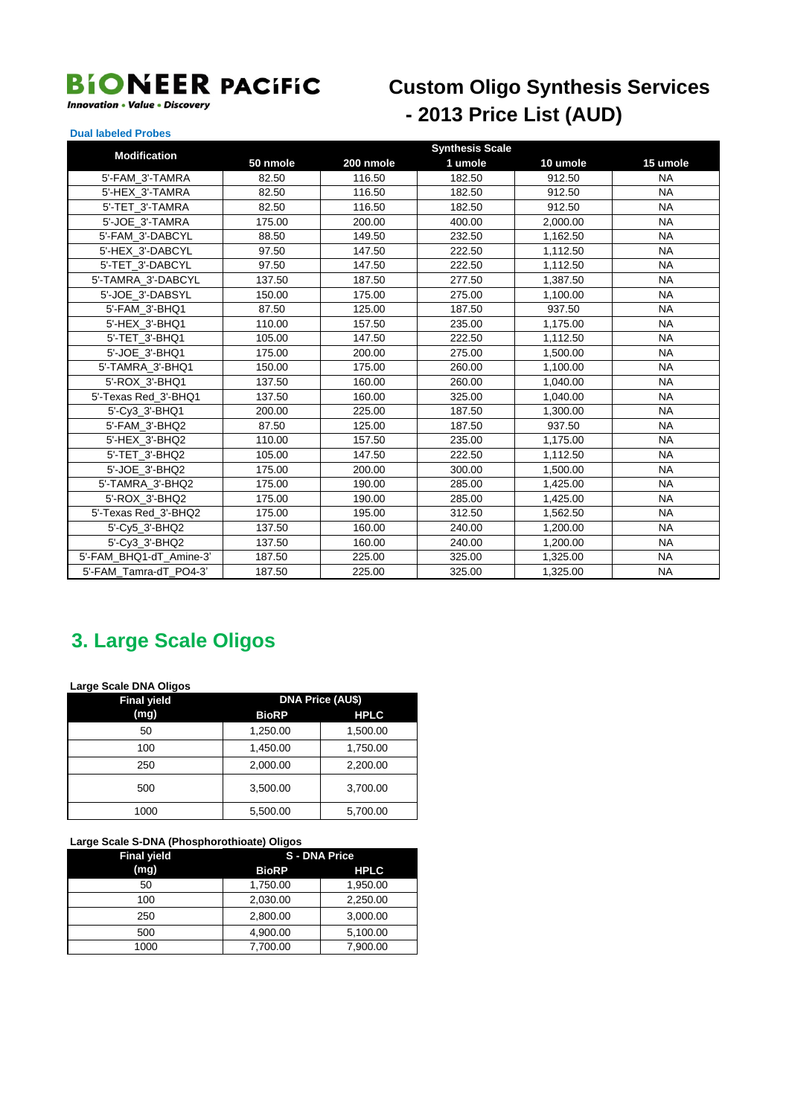#### **Innovation • Value • Discovery**

## **Custom Oligo Synthesis Services** - 2013 Price List (AUD)

#### **Dual labeled Probes**

| <b>Modification</b>     |          |           | <b>Synthesis Scale</b> |          |           |
|-------------------------|----------|-----------|------------------------|----------|-----------|
|                         | 50 nmole | 200 nmole | 1 umole                | 10 umole | 15 umole  |
| 5'-FAM_3'-TAMRA         | 82.50    | 116.50    | 182.50                 | 912.50   | <b>NA</b> |
| 5'-HEX 3'-TAMRA         | 82.50    | 116.50    | 182.50                 | 912.50   | <b>NA</b> |
| 5'-TET 3'-TAMRA         | 82.50    | 116.50    | 182.50                 | 912.50   | <b>NA</b> |
| 5'-JOE 3'-TAMRA         | 175.00   | 200.00    | 400.00                 | 2,000.00 | <b>NA</b> |
| 5'-FAM 3'-DABCYL        | 88.50    | 149.50    | 232.50                 | 1,162.50 | <b>NA</b> |
| 5'-HEX 3'-DABCYL        | 97.50    | 147.50    | 222.50                 | 1,112.50 | <b>NA</b> |
| 5'-TET 3'-DABCYL        | 97.50    | 147.50    | 222.50                 | 1,112.50 | <b>NA</b> |
| 5'-TAMRA 3'-DABCYL      | 137.50   | 187.50    | 277.50                 | 1,387.50 | <b>NA</b> |
| 5'-JOE_3'-DABSYL        | 150.00   | 175.00    | 275.00                 | 1,100.00 | <b>NA</b> |
| 5'-FAM 3'-BHQ1          | 87.50    | 125.00    | 187.50                 | 937.50   | <b>NA</b> |
| 5'-HEX 3'-BHQ1          | 110.00   | 157.50    | 235.00                 | 1,175.00 | <b>NA</b> |
| 5'-TET 3'-BHQ1          | 105.00   | 147.50    | 222.50                 | 1,112.50 | <b>NA</b> |
| 5'-JOE 3'-BHQ1          | 175.00   | 200.00    | 275.00                 | 1,500.00 | <b>NA</b> |
| 5'-TAMRA 3'-BHQ1        | 150.00   | 175.00    | 260.00                 | 1,100.00 | <b>NA</b> |
| 5'-ROX 3'-BHQ1          | 137.50   | 160.00    | 260.00                 | 1,040.00 | <b>NA</b> |
| 5'-Texas Red 3'-BHQ1    | 137.50   | 160.00    | 325.00                 | 1,040.00 | <b>NA</b> |
| 5'-Cv3 3'-BHQ1          | 200.00   | 225.00    | 187.50                 | 1,300.00 | <b>NA</b> |
| 5'-FAM 3'-BHQ2          | 87.50    | 125.00    | 187.50                 | 937.50   | <b>NA</b> |
| 5'-HEX 3'-BHQ2          | 110.00   | 157.50    | 235.00                 | 1,175.00 | <b>NA</b> |
| 5'-TET 3'-BHQ2          | 105.00   | 147.50    | 222.50                 | 1,112.50 | <b>NA</b> |
| 5'-JOE 3'-BHQ2          | 175.00   | 200.00    | 300.00                 | 1,500.00 | <b>NA</b> |
| 5'-TAMRA 3'-BHQ2        | 175.00   | 190.00    | 285.00                 | 1,425.00 | <b>NA</b> |
| 5'-ROX 3'-BHQ2          | 175.00   | 190.00    | 285.00                 | 1,425.00 | <b>NA</b> |
| 5'-Texas Red_3'-BHQ2    | 175.00   | 195.00    | 312.50                 | 1,562.50 | <b>NA</b> |
| 5'-Cv5 3'-BHQ2          | 137.50   | 160.00    | 240.00                 | 1,200.00 | <b>NA</b> |
| 5'-Cv3 3'-BHQ2          | 137.50   | 160.00    | 240.00                 | 1,200.00 | <b>NA</b> |
| 5'-FAM BHQ1-dT Amine-3' | 187.50   | 225.00    | 325.00                 | 1,325.00 | <b>NA</b> |
| 5'-FAM Tamra-dT PO4-3'  | 187.50   | 225.00    | 325.00                 | 1,325.00 | <b>NA</b> |

#### 3. Large Scale Oligos

Large Scale DNA Oligos

| <b>Final yield</b> | <b>DNA Price (AU\$)</b> |             |  |
|--------------------|-------------------------|-------------|--|
| (mg)               | <b>BioRP</b>            | <b>HPLC</b> |  |
| 50                 | 1,250.00                | 1,500.00    |  |
| 100                | 1,450.00                | 1,750.00    |  |
| 250                | 2,000.00                | 2,200.00    |  |
| 500                | 3,500.00                | 3,700.00    |  |
| 1000               | 5,500.00                | 5,700.00    |  |

#### Large Scale S-DNA (Phosphorothioate) Oligos

| <b>Final yield</b> | <b>S-DNA Price</b> |             |
|--------------------|--------------------|-------------|
| (mg)               | <b>BioRP</b>       | <b>HPLC</b> |
| 50                 | 1,750.00           | 1,950.00    |
| 100                | 2,030.00           | 2,250.00    |
| 250                | 2.800.00           | 3.000.00    |
| 500                | 4,900.00           | 5,100.00    |
| 1000               | 7.700.00           | 7.900.00    |